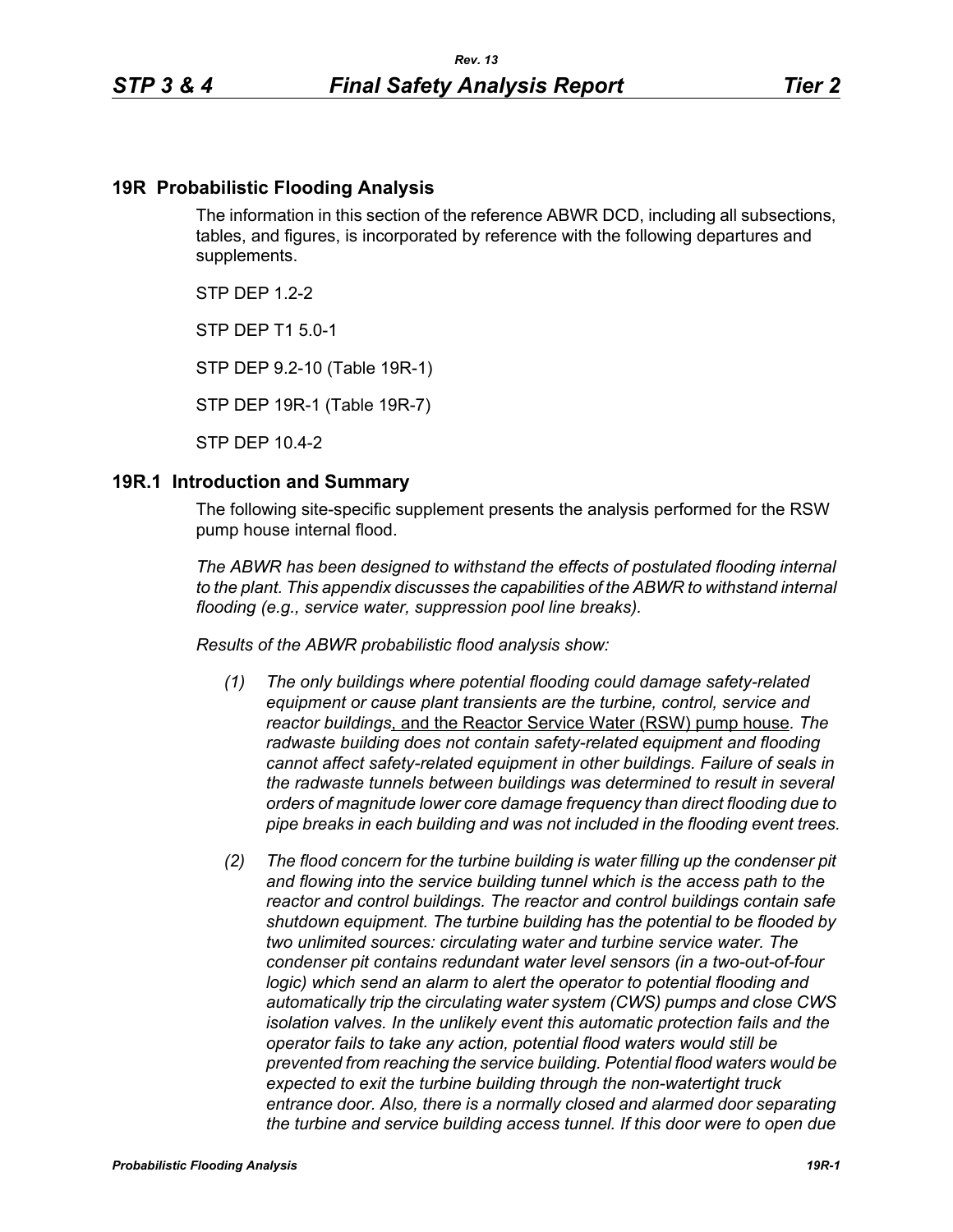# **19R Probabilistic Flooding Analysis**

The information in this section of the reference ABWR DCD, including all subsections, tables, and figures, is incorporated by reference with the following departures and supplements.

 $STP$  DFP 12-2

STP DEP T1 5.0-1

STP DEP 9.2-10 (Table 19R-1)

STP DEP 19R-1 (Table 19R-7)

STP DEP 10.4-2

#### **19R.1 Introduction and Summary**

The following site-specific supplement presents the analysis performed for the RSW pump house internal flood.

*The ABWR has been designed to withstand the effects of postulated flooding internal to the plant. This appendix discusses the capabilities of the ABWR to withstand internal flooding (e.g., service water, suppression pool line breaks).*

*Results of the ABWR probabilistic flood analysis show:*

- *(1) The only buildings where potential flooding could damage safety-related equipment or cause plant transients are the turbine, control, service and reactor buildings*, and the Reactor Service Water (RSW) pump house*. The radwaste building does not contain safety-related equipment and flooding cannot affect safety-related equipment in other buildings. Failure of seals in the radwaste tunnels between buildings was determined to result in several orders of magnitude lower core damage frequency than direct flooding due to pipe breaks in each building and was not included in the flooding event trees.*
- *(2) The flood concern for the turbine building is water filling up the condenser pit and flowing into the service building tunnel which is the access path to the reactor and control buildings. The reactor and control buildings contain safe shutdown equipment. The turbine building has the potential to be flooded by two unlimited sources: circulating water and turbine service water. The condenser pit contains redundant water level sensors (in a two-out-of-four logic)* which send an alarm to alert the operator to potential flooding and *automatically trip the circulating water system (CWS) pumps and close CWS isolation valves. In the unlikely event this automatic protection fails and the operator fails to take any action, potential flood waters would still be prevented from reaching the service building. Potential flood waters would be expected to exit the turbine building through the non-watertight truck*  entrance door. Also, there is a normally closed and alarmed door separating *the turbine and service building access tunnel. If this door were to open due*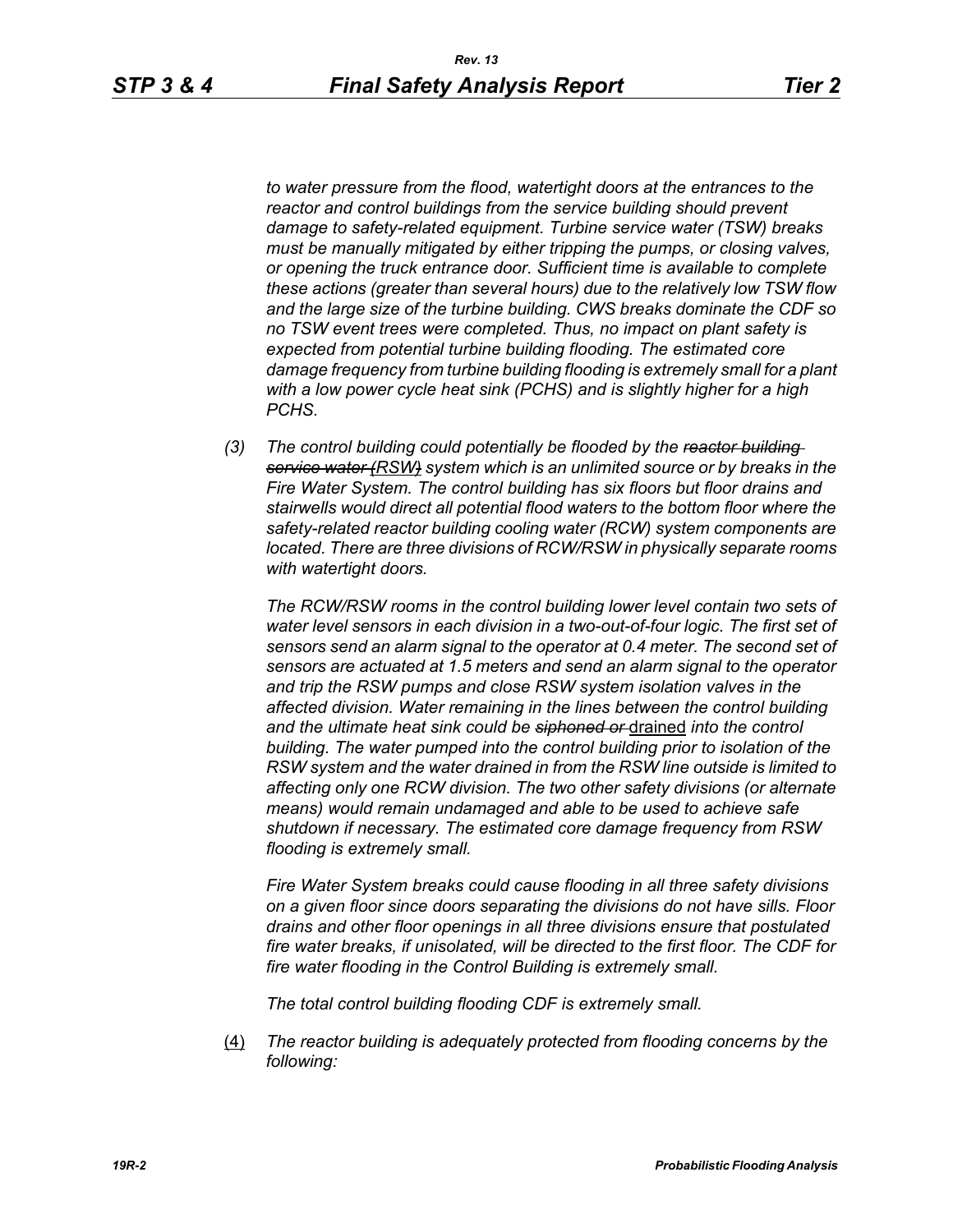*to water pressure from the flood, watertight doors at the entrances to the reactor and control buildings from the service building should prevent damage to safety-related equipment. Turbine service water (TSW) breaks must be manually mitigated by either tripping the pumps, or closing valves, or opening the truck entrance door. Sufficient time is available to complete these actions (greater than several hours) due to the relatively low TSW flow and the large size of the turbine building. CWS breaks dominate the CDF so no TSW event trees were completed. Thus, no impact on plant safety is expected from potential turbine building flooding. The estimated core damage frequency from turbine building flooding is extremely small for a plant with a low power cycle heat sink (PCHS) and is slightly higher for a high PCHS.*

*(3) The control building could potentially be flooded by the reactor building service water (RSW) system which is an unlimited source or by breaks in the Fire Water System. The control building has six floors but floor drains and stairwells would direct all potential flood waters to the bottom floor where the safety-related reactor building cooling water (RCW) system components are located. There are three divisions of RCW/RSW in physically separate rooms with watertight doors.*

*The RCW/RSW rooms in the control building lower level contain two sets of water level sensors in each division in a two-out-of-four logic. The first set of sensors send an alarm signal to the operator at 0.4 meter. The second set of sensors are actuated at 1.5 meters and send an alarm signal to the operator and trip the RSW pumps and close RSW system isolation valves in the affected division. Water remaining in the lines between the control building and the ultimate heat sink could be siphoned or* drained *into the control building. The water pumped into the control building prior to isolation of the RSW system and the water drained in from the RSW line outside is limited to affecting only one RCW division. The two other safety divisions (or alternate means) would remain undamaged and able to be used to achieve safe shutdown if necessary. The estimated core damage frequency from RSW flooding is extremely small.*

*Fire Water System breaks could cause flooding in all three safety divisions on a given floor since doors separating the divisions do not have sills. Floor drains and other floor openings in all three divisions ensure that postulated fire water breaks, if unisolated, will be directed to the first floor. The CDF for fire water flooding in the Control Building is extremely small.*

*The total control building flooding CDF is extremely small.*

(4) *The reactor building is adequately protected from flooding concerns by the following:*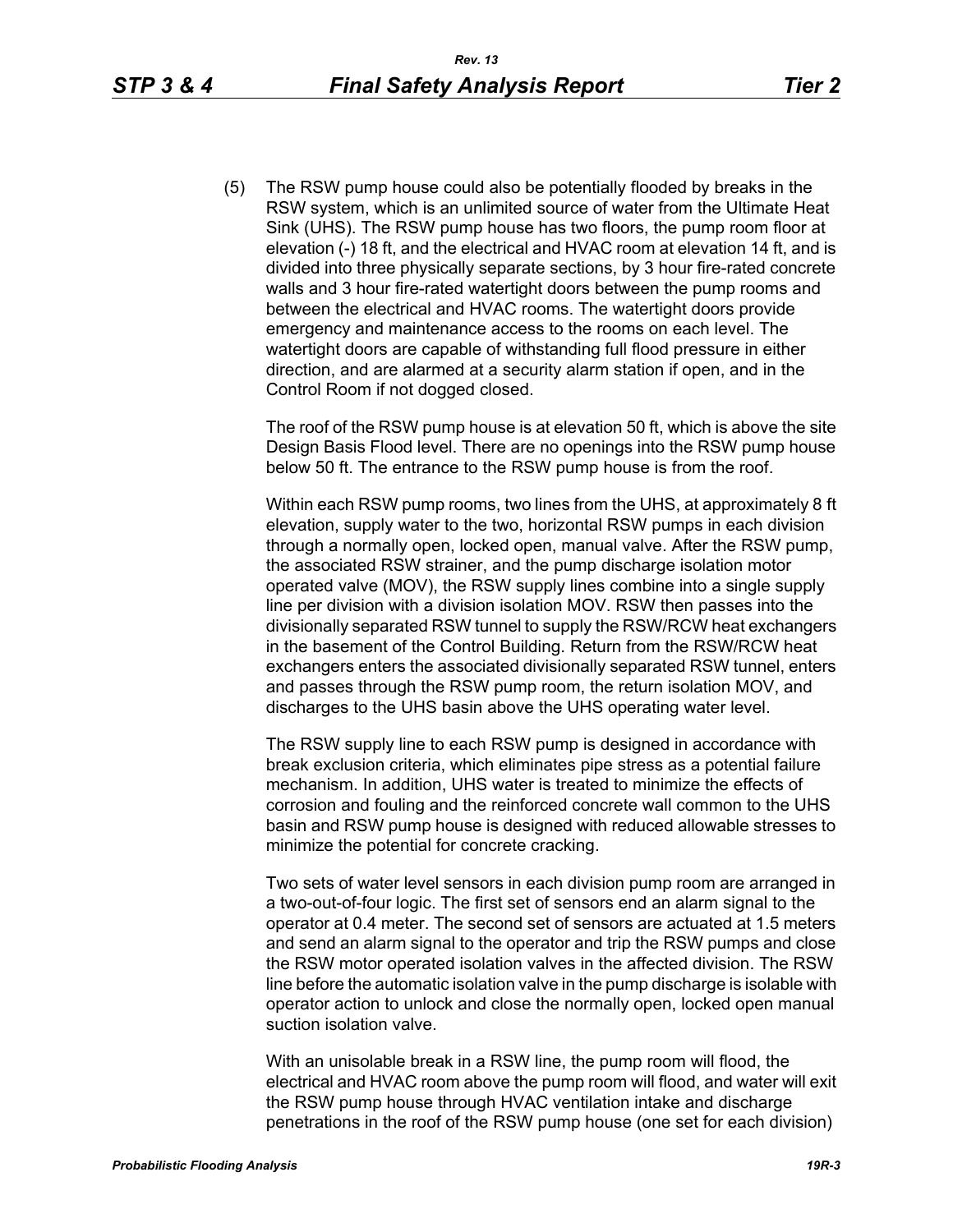(5) The RSW pump house could also be potentially flooded by breaks in the RSW system, which is an unlimited source of water from the Ultimate Heat Sink (UHS). The RSW pump house has two floors, the pump room floor at elevation (-) 18 ft, and the electrical and HVAC room at elevation 14 ft, and is divided into three physically separate sections, by 3 hour fire-rated concrete walls and 3 hour fire-rated watertight doors between the pump rooms and between the electrical and HVAC rooms. The watertight doors provide emergency and maintenance access to the rooms on each level. The watertight doors are capable of withstanding full flood pressure in either direction, and are alarmed at a security alarm station if open, and in the Control Room if not dogged closed.

The roof of the RSW pump house is at elevation 50 ft, which is above the site Design Basis Flood level. There are no openings into the RSW pump house below 50 ft. The entrance to the RSW pump house is from the roof.

Within each RSW pump rooms, two lines from the UHS, at approximately 8 ft elevation, supply water to the two, horizontal RSW pumps in each division through a normally open, locked open, manual valve. After the RSW pump, the associated RSW strainer, and the pump discharge isolation motor operated valve (MOV), the RSW supply lines combine into a single supply line per division with a division isolation MOV. RSW then passes into the divisionally separated RSW tunnel to supply the RSW/RCW heat exchangers in the basement of the Control Building. Return from the RSW/RCW heat exchangers enters the associated divisionally separated RSW tunnel, enters and passes through the RSW pump room, the return isolation MOV, and discharges to the UHS basin above the UHS operating water level.

The RSW supply line to each RSW pump is designed in accordance with break exclusion criteria, which eliminates pipe stress as a potential failure mechanism. In addition, UHS water is treated to minimize the effects of corrosion and fouling and the reinforced concrete wall common to the UHS basin and RSW pump house is designed with reduced allowable stresses to minimize the potential for concrete cracking.

Two sets of water level sensors in each division pump room are arranged in a two-out-of-four logic. The first set of sensors end an alarm signal to the operator at 0.4 meter. The second set of sensors are actuated at 1.5 meters and send an alarm signal to the operator and trip the RSW pumps and close the RSW motor operated isolation valves in the affected division. The RSW line before the automatic isolation valve in the pump discharge is isolable with operator action to unlock and close the normally open, locked open manual suction isolation valve.

With an unisolable break in a RSW line, the pump room will flood, the electrical and HVAC room above the pump room will flood, and water will exit the RSW pump house through HVAC ventilation intake and discharge penetrations in the roof of the RSW pump house (one set for each division)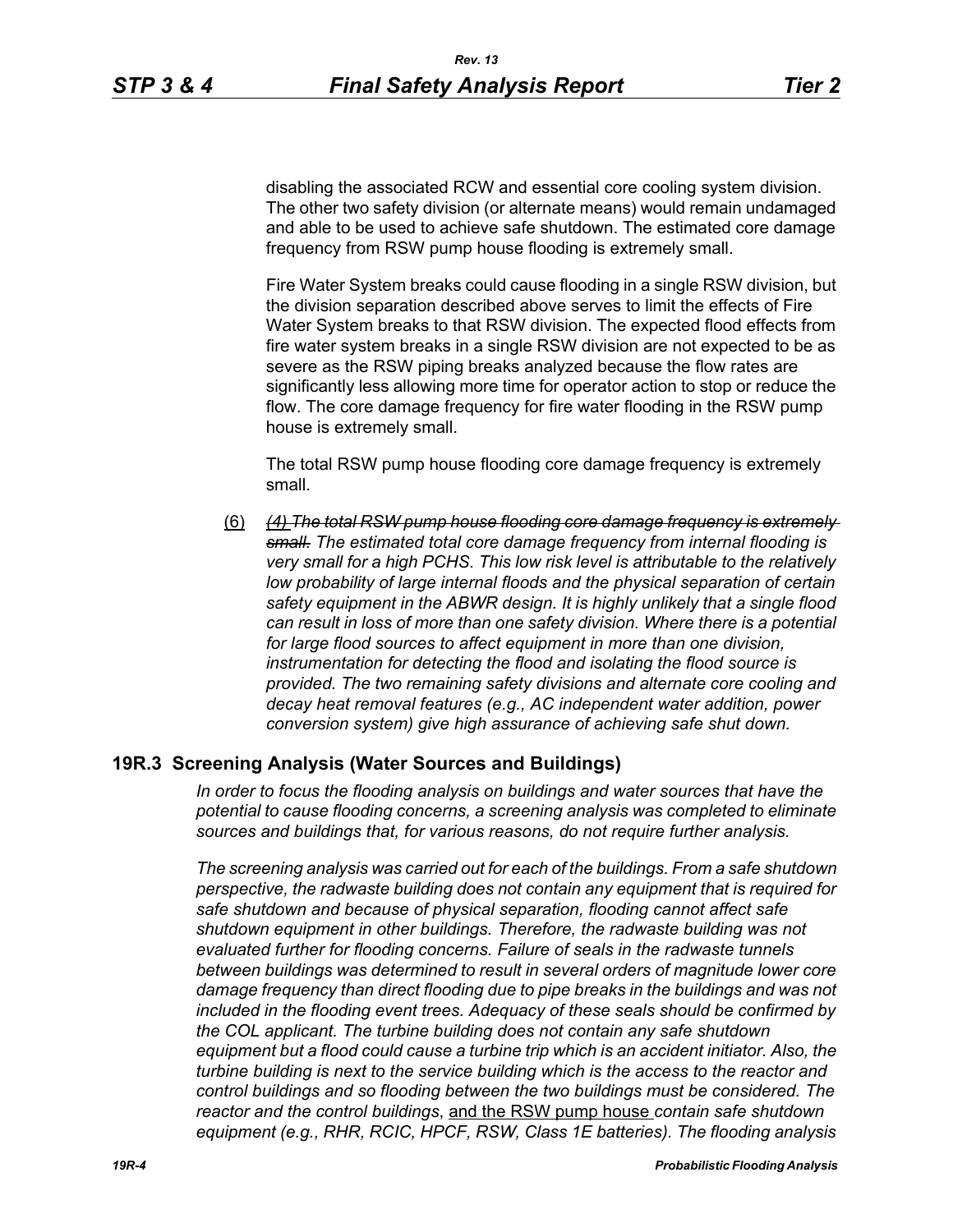disabling the associated RCW and essential core cooling system division. The other two safety division (or alternate means) would remain undamaged and able to be used to achieve safe shutdown. The estimated core damage frequency from RSW pump house flooding is extremely small.

Fire Water System breaks could cause flooding in a single RSW division, but the division separation described above serves to limit the effects of Fire Water System breaks to that RSW division. The expected flood effects from fire water system breaks in a single RSW division are not expected to be as severe as the RSW piping breaks analyzed because the flow rates are significantly less allowing more time for operator action to stop or reduce the flow. The core damage frequency for fire water flooding in the RSW pump house is extremely small.

The total RSW pump house flooding core damage frequency is extremely small.

(6) *(4) The total RSW pump house flooding core damage frequency is extremely small. The estimated total core damage frequency from internal flooding is very small for a high PCHS. This low risk level is attributable to the relatively*  low probability of large internal floods and the physical separation of certain *safety equipment in the ABWR design. It is highly unlikely that a single flood can result in loss of more than one safety division. Where there is a potential for large flood sources to affect equipment in more than one division, instrumentation for detecting the flood and isolating the flood source is provided. The two remaining safety divisions and alternate core cooling and decay heat removal features (e.g., AC independent water addition, power conversion system) give high assurance of achieving safe shut down.*

# **19R.3 Screening Analysis (Water Sources and Buildings)**

*In order to focus the flooding analysis on buildings and water sources that have the potential to cause flooding concerns, a screening analysis was completed to eliminate sources and buildings that, for various reasons, do not require further analysis.*

*The screening analysis was carried out for each of the buildings. From a safe shutdown perspective, the radwaste building does not contain any equipment that is required for safe shutdown and because of physical separation, flooding cannot affect safe shutdown equipment in other buildings. Therefore, the radwaste building was not evaluated further for flooding concerns. Failure of seals in the radwaste tunnels between buildings was determined to result in several orders of magnitude lower core damage frequency than direct flooding due to pipe breaks in the buildings and was not included in the flooding event trees. Adequacy of these seals should be confirmed by the COL applicant. The turbine building does not contain any safe shutdown equipment but a flood could cause a turbine trip which is an accident initiator. Also, the turbine building is next to the service building which is the access to the reactor and control buildings and so flooding between the two buildings must be considered. The reactor and the control buildings*, and the RSW pump house *contain safe shutdown equipment (e.g., RHR, RCIC, HPCF, RSW, Class 1E batteries). The flooding analysis*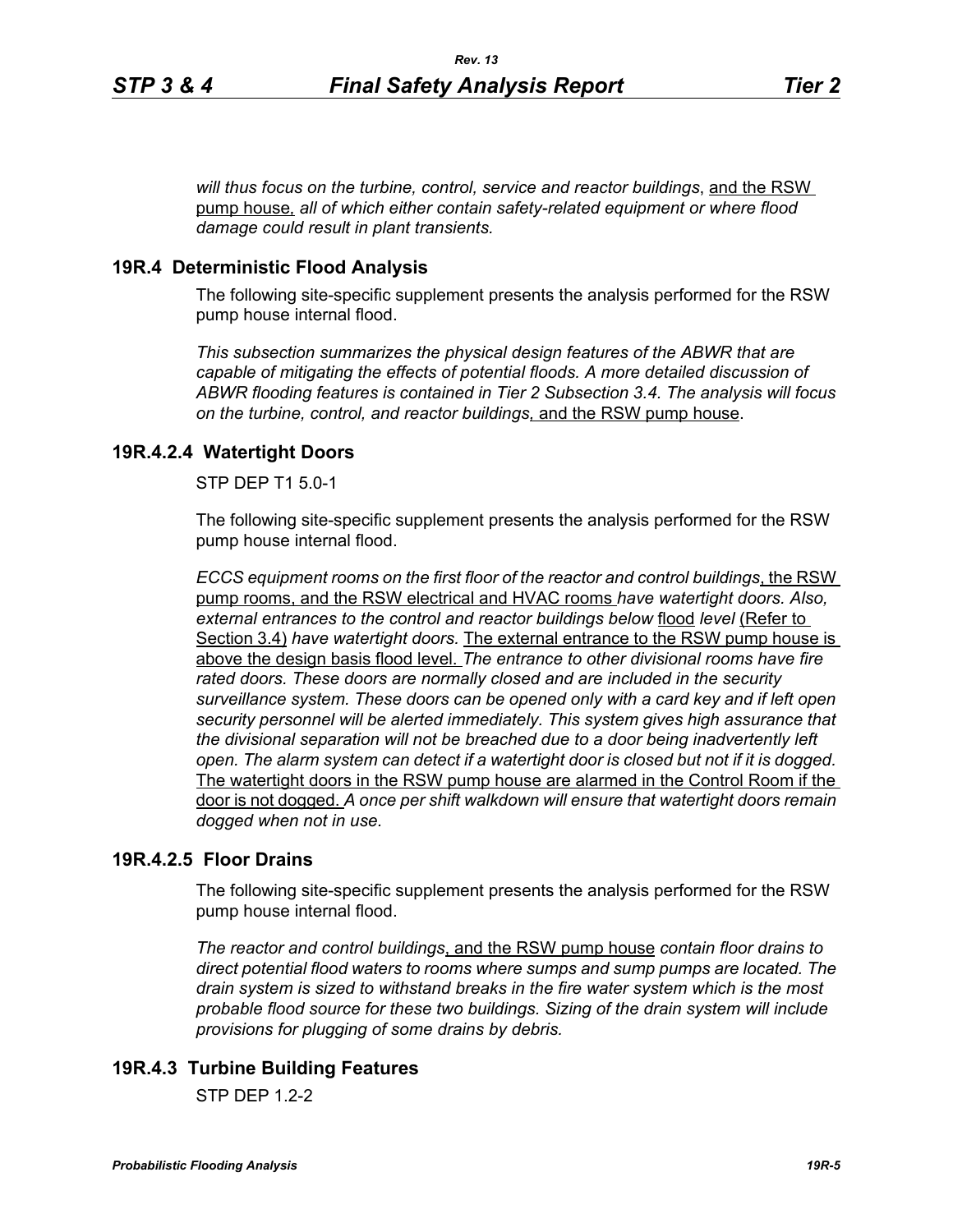*will thus focus on the turbine, control, service and reactor buildings*, and the RSW pump house*, all of which either contain safety-related equipment or where flood damage could result in plant transients.*

#### **19R.4 Deterministic Flood Analysis**

The following site-specific supplement presents the analysis performed for the RSW pump house internal flood.

*This subsection summarizes the physical design features of the ABWR that are capable of mitigating the effects of potential floods. A more detailed discussion of ABWR flooding features is contained in Tier 2 Subsection 3.4. The analysis will focus on the turbine, control, and reactor buildings,* and the RSW pump house.

#### **19R.4.2.4 Watertight Doors**

STP DEP T1 5.0-1

The following site-specific supplement presents the analysis performed for the RSW pump house internal flood.

*ECCS equipment rooms on the first floor of the reactor and control buildings*, the RSW pump rooms, and the RSW electrical and HVAC rooms *have watertight doors. Also, external entrances to the control and reactor buildings below* flood *level* (Refer to Section 3.4) *have watertight doors.* The external entrance to the RSW pump house is above the design basis flood level. *The entrance to other divisional rooms have fire rated doors. These doors are normally closed and are included in the security surveillance system. These doors can be opened only with a card key and if left open security personnel will be alerted immediately. This system gives high assurance that the divisional separation will not be breached due to a door being inadvertently left open. The alarm system can detect if a watertight door is closed but not if it is dogged.*  The watertight doors in the RSW pump house are alarmed in the Control Room if the door is not dogged. *A once per shift walkdown will ensure that watertight doors remain dogged when not in use.*

#### **19R.4.2.5 Floor Drains**

The following site-specific supplement presents the analysis performed for the RSW pump house internal flood.

*The reactor and control buildings*, and the RSW pump house *contain floor drains to direct potential flood waters to rooms where sumps and sump pumps are located. The drain system is sized to withstand breaks in the fire water system which is the most probable flood source for these two buildings. Sizing of the drain system will include provisions for plugging of some drains by debris.*

# **19R.4.3 Turbine Building Features**

 $STP$  DFP 12-2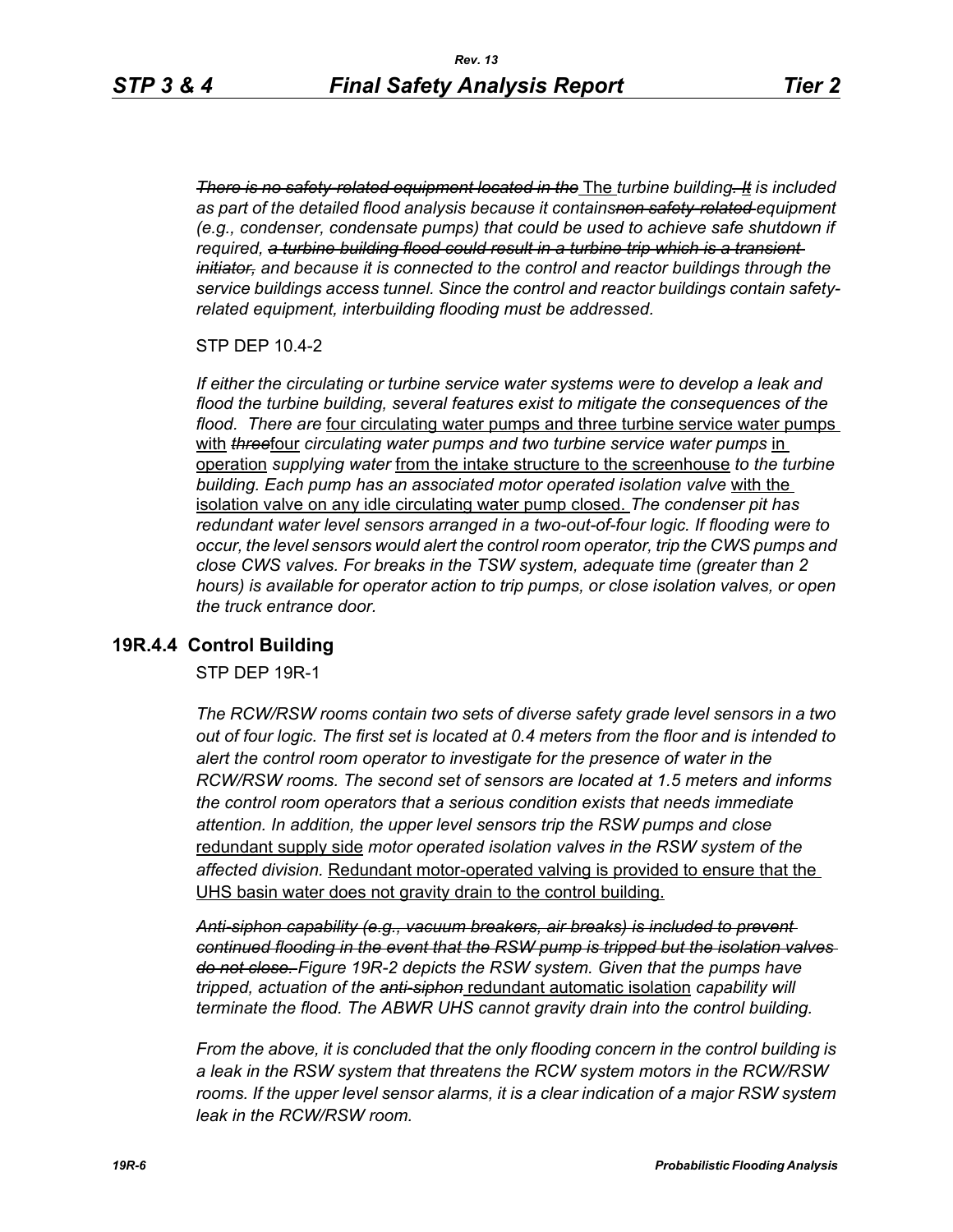*There is no safety-related equipment located in the* The *turbine building. It is included as part of the detailed flood analysis because it containsnon safety-related equipment (e.g., condenser, condensate pumps) that could be used to achieve safe shutdown if required, a turbine building flood could result in a turbine trip which is a transient initiator, and because it is connected to the control and reactor buildings through the service buildings access tunnel. Since the control and reactor buildings contain safetyrelated equipment, interbuilding flooding must be addressed.*

STP DEP 10.4-2

*If either the circulating or turbine service water systems were to develop a leak and flood the turbine building, several features exist to mitigate the consequences of the flood. There are* four circulating water pumps and three turbine service water pumps with **threefour** circulating water pumps and two turbine service water pumps in operation *supplying water* from the intake structure to the screenhouse *to the turbine building. Each pump has an associated motor operated isolation valve* with the isolation valve on any idle circulating water pump closed. *The condenser pit has redundant water level sensors arranged in a two-out-of-four logic. If flooding were to occur, the level sensors would alert the control room operator, trip the CWS pumps and close CWS valves. For breaks in the TSW system, adequate time (greater than 2 hours) is available for operator action to trip pumps, or close isolation valves, or open the truck entrance door.*

#### **19R.4.4 Control Building**

STP DEP 19R-1

*The RCW/RSW rooms contain two sets of diverse safety grade level sensors in a two out of four logic. The first set is located at 0.4 meters from the floor and is intended to alert the control room operator to investigate for the presence of water in the RCW/RSW rooms. The second set of sensors are located at 1.5 meters and informs the control room operators that a serious condition exists that needs immediate attention. In addition, the upper level sensors trip the RSW pumps and close*  redundant supply side *motor operated isolation valves in the RSW system of the affected division.* Redundant motor-operated valving is provided to ensure that the UHS basin water does not gravity drain to the control building.

*Anti-siphon capability (e.g., vacuum breakers, air breaks) is included to prevent continued flooding in the event that the RSW pump is tripped but the isolation valves do not close. Figure 19R-2 depicts the RSW system. Given that the pumps have tripped, actuation of the anti-siphon* redundant automatic isolation *capability will terminate the flood. The ABWR UHS cannot gravity drain into the control building.*

*From the above, it is concluded that the only flooding concern in the control building is a leak in the RSW system that threatens the RCW system motors in the RCW/RSW*  rooms. If the upper level sensor alarms, it is a clear indication of a major RSW system *leak in the RCW/RSW room.*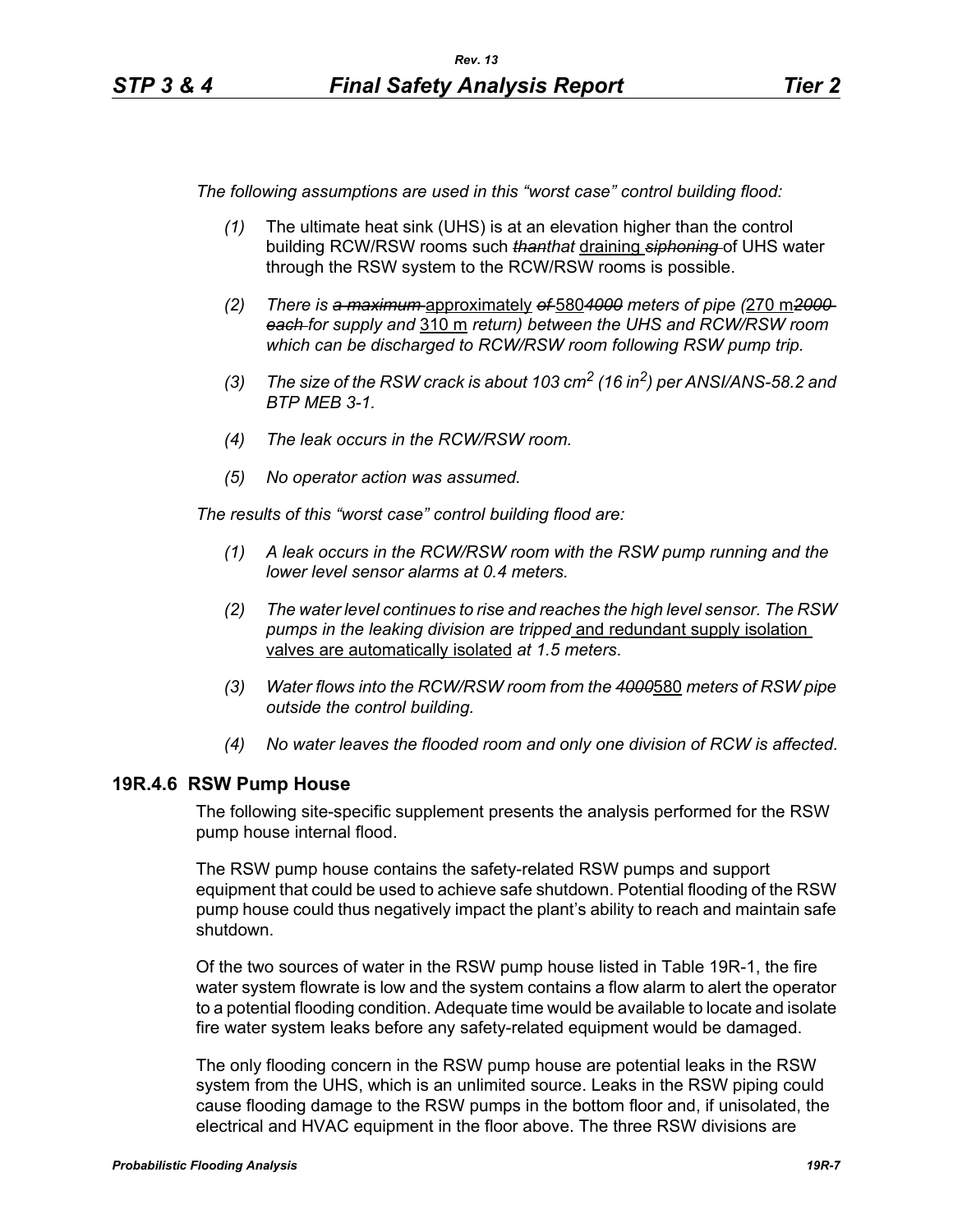*The following assumptions are used in this "worst case" control building flood:*

- *(1)* The ultimate heat sink (UHS) is at an elevation higher than the control building RCW/RSW rooms such *thanthat* draining *siphoning* of UHS water through the RSW system to the RCW/RSW rooms is possible.
- *(2) There is a maximum* approximately *of* 580*4000 meters of pipe (*270 m*2000 each for supply and* 310 m *return) between the UHS and RCW/RSW room which can be discharged to RCW/RSW room following RSW pump trip.*
- *(3) The size of the RSW crack is about 103 cm2 (16 in2) per ANSI/ANS-58.2 and BTP MEB 3-1.*
- *(4) The leak occurs in the RCW/RSW room.*
- *(5) No operator action was assumed.*

*The results of this "worst case" control building flood are:*

- *(1) A leak occurs in the RCW/RSW room with the RSW pump running and the lower level sensor alarms at 0.4 meters.*
- *(2) The water level continues to rise and reaches the high level sensor. The RSW pumps in the leaking division are tripped* and redundant supply isolation valves are automatically isolated *at 1.5 meters*.
- *(3) Water flows into the RCW/RSW room from the 4000*580 *meters of RSW pipe outside the control building.*
- *(4) No water leaves the flooded room and only one division of RCW is affected.*

#### **19R.4.6 RSW Pump House**

The following site-specific supplement presents the analysis performed for the RSW pump house internal flood.

The RSW pump house contains the safety-related RSW pumps and support equipment that could be used to achieve safe shutdown. Potential flooding of the RSW pump house could thus negatively impact the plant's ability to reach and maintain safe shutdown.

Of the two sources of water in the RSW pump house listed in Table 19R-1, the fire water system flowrate is low and the system contains a flow alarm to alert the operator to a potential flooding condition. Adequate time would be available to locate and isolate fire water system leaks before any safety-related equipment would be damaged.

The only flooding concern in the RSW pump house are potential leaks in the RSW system from the UHS, which is an unlimited source. Leaks in the RSW piping could cause flooding damage to the RSW pumps in the bottom floor and, if unisolated, the electrical and HVAC equipment in the floor above. The three RSW divisions are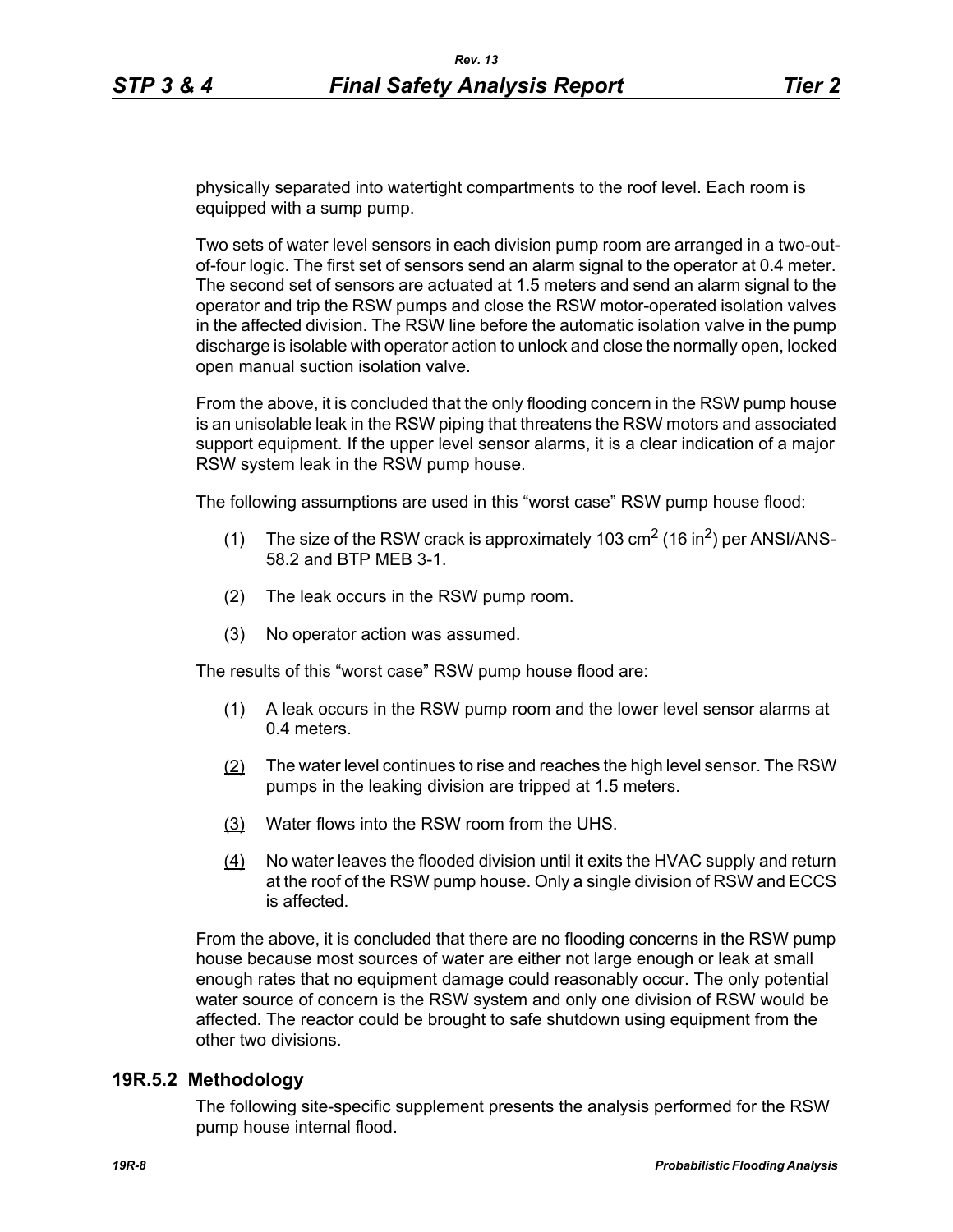physically separated into watertight compartments to the roof level. Each room is equipped with a sump pump.

Two sets of water level sensors in each division pump room are arranged in a two-outof-four logic. The first set of sensors send an alarm signal to the operator at 0.4 meter. The second set of sensors are actuated at 1.5 meters and send an alarm signal to the operator and trip the RSW pumps and close the RSW motor-operated isolation valves in the affected division. The RSW line before the automatic isolation valve in the pump discharge is isolable with operator action to unlock and close the normally open, locked open manual suction isolation valve.

From the above, it is concluded that the only flooding concern in the RSW pump house is an unisolable leak in the RSW piping that threatens the RSW motors and associated support equipment. If the upper level sensor alarms, it is a clear indication of a major RSW system leak in the RSW pump house.

The following assumptions are used in this "worst case" RSW pump house flood:

- (1) The size of the RSW crack is approximately 103  $\text{cm}^2$  (16 in<sup>2</sup>) per ANSI/ANS-58.2 and BTP MEB 3-1.
- (2) The leak occurs in the RSW pump room.
- (3) No operator action was assumed.

The results of this "worst case" RSW pump house flood are:

- (1) A leak occurs in the RSW pump room and the lower level sensor alarms at 0.4 meters.
- (2) The water level continues to rise and reaches the high level sensor. The RSW pumps in the leaking division are tripped at 1.5 meters.
- (3) Water flows into the RSW room from the UHS.
- (4) No water leaves the flooded division until it exits the HVAC supply and return at the roof of the RSW pump house. Only a single division of RSW and ECCS is affected.

From the above, it is concluded that there are no flooding concerns in the RSW pump house because most sources of water are either not large enough or leak at small enough rates that no equipment damage could reasonably occur. The only potential water source of concern is the RSW system and only one division of RSW would be affected. The reactor could be brought to safe shutdown using equipment from the other two divisions.

#### **19R.5.2 Methodology**

The following site-specific supplement presents the analysis performed for the RSW pump house internal flood.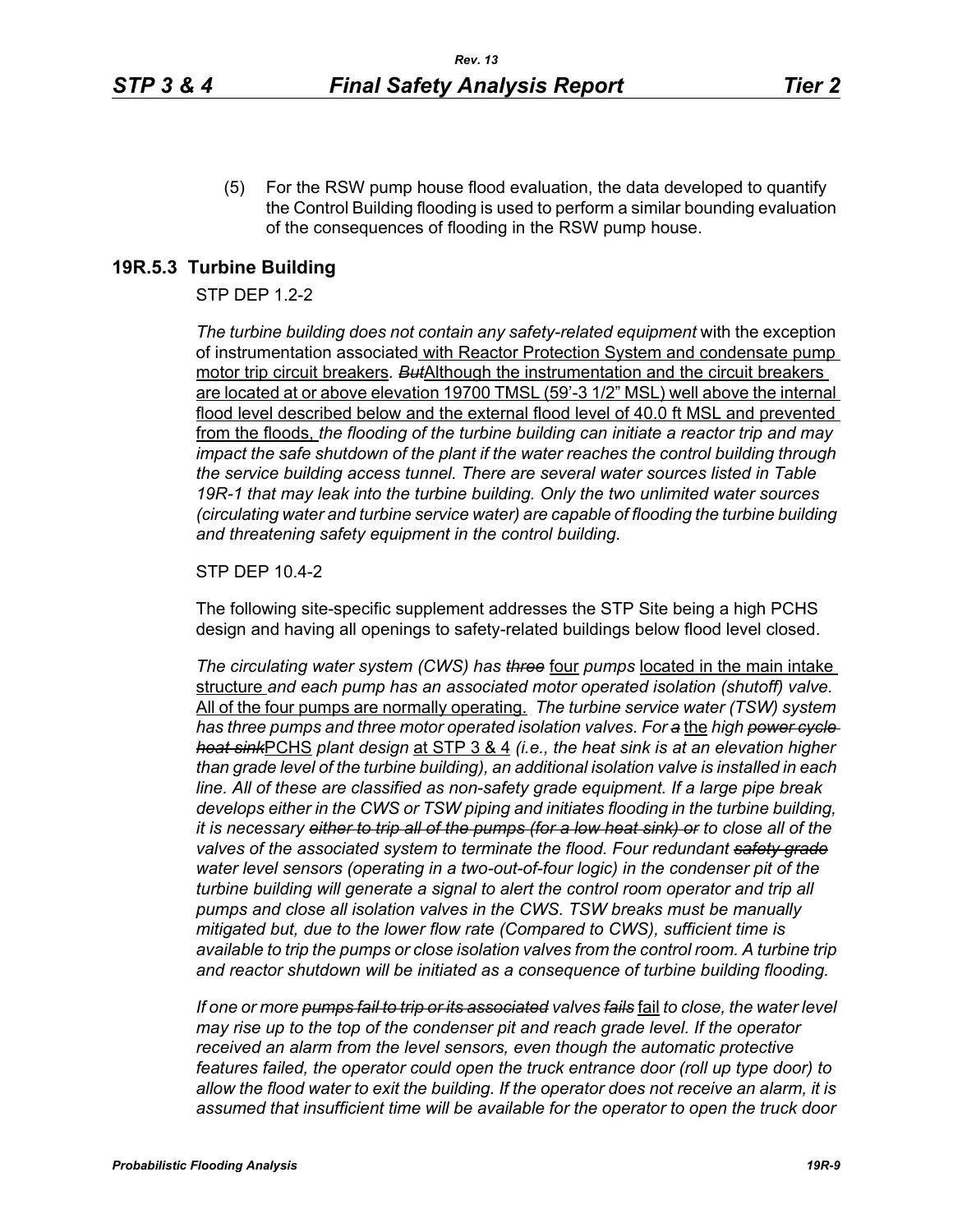(5) For the RSW pump house flood evaluation, the data developed to quantify the Control Building flooding is used to perform a similar bounding evaluation of the consequences of flooding in the RSW pump house.

### **19R.5.3 Turbine Building**

#### STP DEP 1.2-2

*The turbine building does not contain any safety-related equipment* with the exception of instrumentation associated with Reactor Protection System and condensate pump motor trip circuit breakers*. But*Although the instrumentation and the circuit breakers are located at or above elevation 19700 TMSL (59'-3 1/2" MSL) well above the internal flood level described below and the external flood level of 40.0 ft MSL and prevented from the floods, *the flooding of the turbine building can initiate a reactor trip and may impact the safe shutdown of the plant if the water reaches the control building through the service building access tunnel. There are several water sources listed in Table 19R-1 that may leak into the turbine building. Only the two unlimited water sources (circulating water and turbine service water) are capable of flooding the turbine building and threatening safety equipment in the control building.*

#### STP DEP 10.4-2

The following site-specific supplement addresses the STP Site being a high PCHS design and having all openings to safety-related buildings below flood level closed.

*The circulating water system (CWS) has three* four *pumps* located in the main intake structure *and each pump has an associated motor operated isolation (shutoff) valve.*  All of the four pumps are normally operating. *The turbine service water (TSW) system has three pumps and three motor operated isolation valves. For a* the *high power cycle heat sink*PCHS *plant design* at STP 3 & 4 *(i.e., the heat sink is at an elevation higher than grade level of the turbine building), an additional isolation valve is installed in each line. All of these are classified as non-safety grade equipment. If a large pipe break develops either in the CWS or TSW piping and initiates flooding in the turbine building, it is necessary either to trip all of the pumps (for a low heat sink) or to close all of the valves of the associated system to terminate the flood. Four redundant safety grade water level sensors (operating in a two-out-of-four logic) in the condenser pit of the turbine building will generate a signal to alert the control room operator and trip all pumps and close all isolation valves in the CWS. TSW breaks must be manually mitigated but, due to the lower flow rate (Compared to CWS), sufficient time is available to trip the pumps or close isolation valves from the control room. A turbine trip and reactor shutdown will be initiated as a consequence of turbine building flooding.*

*If one or more pumps fail to trip or its associated valves fails* fail *to close, the water level may rise up to the top of the condenser pit and reach grade level. If the operator received an alarm from the level sensors, even though the automatic protective features failed, the operator could open the truck entrance door (roll up type door) to allow the flood water to exit the building. If the operator does not receive an alarm, it is assumed that insufficient time will be available for the operator to open the truck door*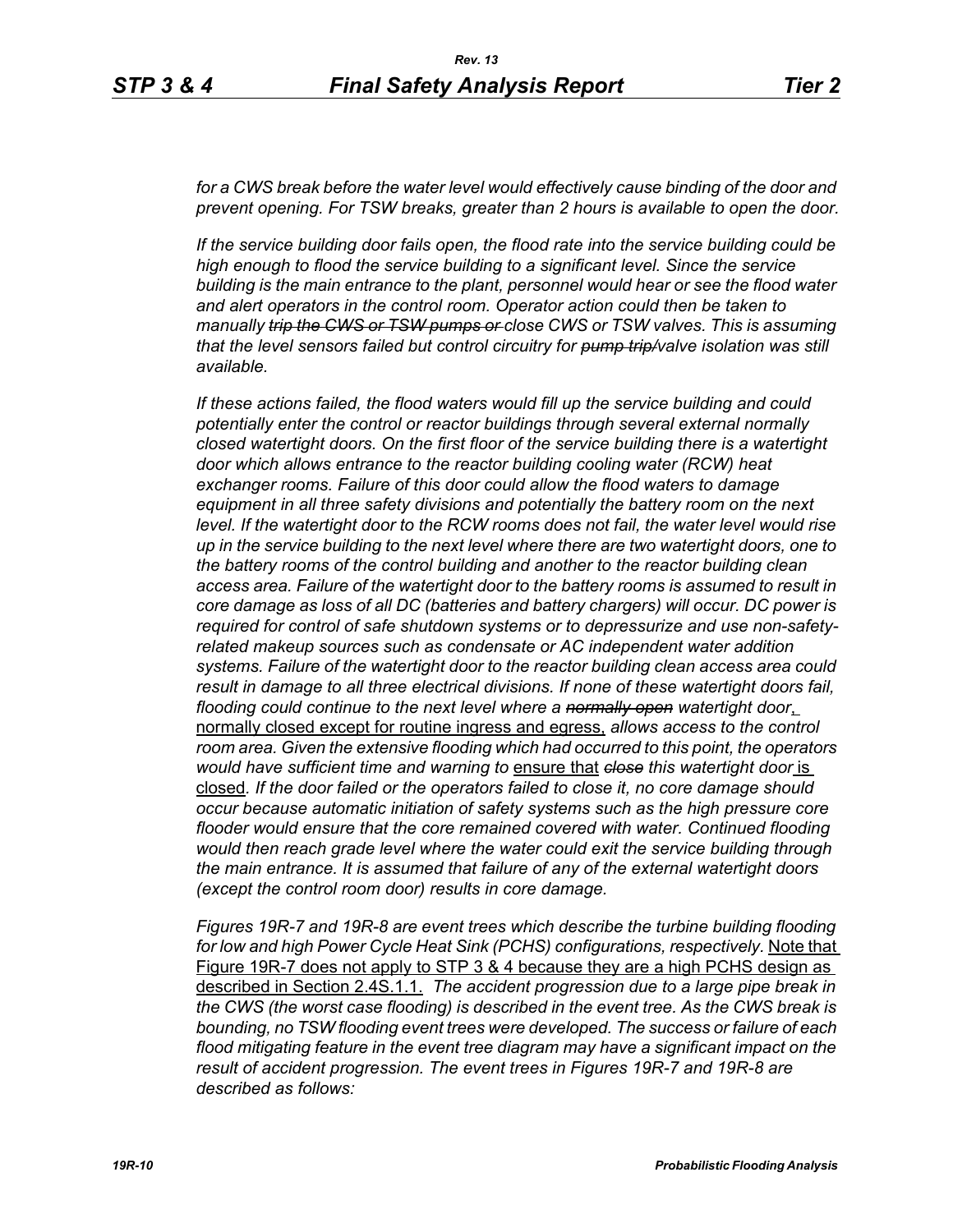for a CWS break before the water level would effectively cause binding of the door and *prevent opening. For TSW breaks, greater than 2 hours is available to open the door.*

*If the service building door fails open, the flood rate into the service building could be high enough to flood the service building to a significant level. Since the service building is the main entrance to the plant, personnel would hear or see the flood water and alert operators in the control room. Operator action could then be taken to manually trip the CWS or TSW pumps or close CWS or TSW valves. This is assuming that the level sensors failed but control circuitry for pump trip/valve isolation was still available.*

*If these actions failed, the flood waters would fill up the service building and could potentially enter the control or reactor buildings through several external normally closed watertight doors. On the first floor of the service building there is a watertight door which allows entrance to the reactor building cooling water (RCW) heat exchanger rooms. Failure of this door could allow the flood waters to damage equipment in all three safety divisions and potentially the battery room on the next*  level. If the watertight door to the RCW rooms does not fail, the water level would rise *up in the service building to the next level where there are two watertight doors, one to the battery rooms of the control building and another to the reactor building clean access area. Failure of the watertight door to the battery rooms is assumed to result in core damage as loss of all DC (batteries and battery chargers) will occur. DC power is required for control of safe shutdown systems or to depressurize and use non-safetyrelated makeup sources such as condensate or AC independent water addition systems. Failure of the watertight door to the reactor building clean access area could result in damage to all three electrical divisions. If none of these watertight doors fail, flooding could continue to the next level where a normally open watertight door*, normally closed except for routine ingress and egress, *allows access to the control room area. Given the extensive flooding which had occurred to this point, the operators would have sufficient time and warning to* ensure that *close this watertight door* is closed*. If the door failed or the operators failed to close it, no core damage should occur because automatic initiation of safety systems such as the high pressure core flooder would ensure that the core remained covered with water. Continued flooding would then reach grade level where the water could exit the service building through the main entrance. It is assumed that failure of any of the external watertight doors (except the control room door) results in core damage.*

*Figures 19R-7 and 19R-8 are event trees which describe the turbine building flooding*  for low and high Power Cycle Heat Sink (PCHS) configurations, respectively. Note that Figure 19R-7 does not apply to STP 3 & 4 because they are a high PCHS design as described in Section 2.4S.1.1. *The accident progression due to a large pipe break in the CWS (the worst case flooding) is described in the event tree. As the CWS break is bounding, no TSW flooding event trees were developed. The success or failure of each flood mitigating feature in the event tree diagram may have a significant impact on the result of accident progression. The event trees in Figures 19R-7 and 19R-8 are described as follows:*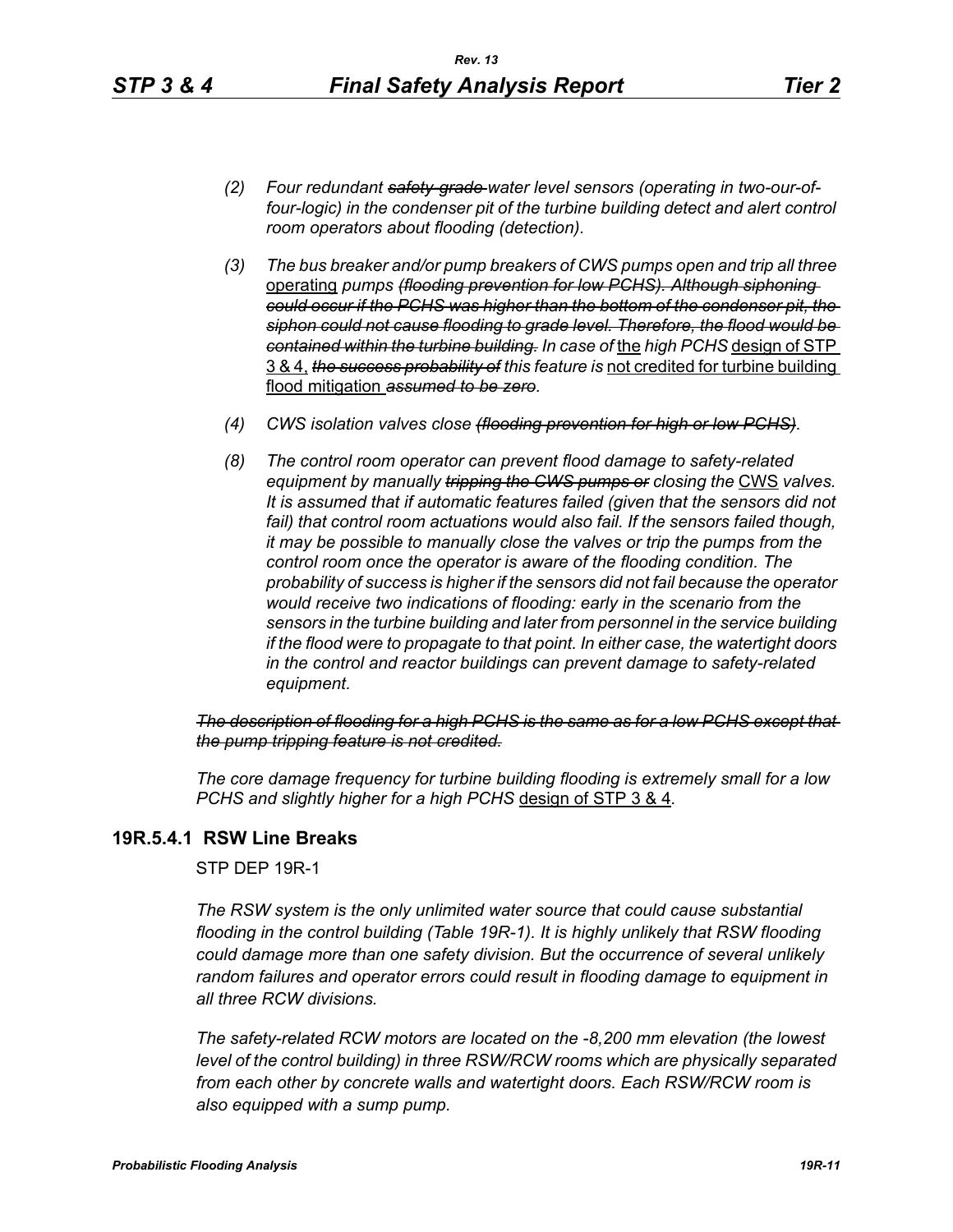- *(2) Four redundant safety-grade water level sensors (operating in two-our-offour-logic) in the condenser pit of the turbine building detect and alert control room operators about flooding (detection).*
- *(3) The bus breaker and/or pump breakers of CWS pumps open and trip all three*  operating *pumps (flooding prevention for low PCHS). Although siphoning could occur if the PCHS was higher than the bottom of the condenser pit, the siphon could not cause flooding to grade level. Therefore, the flood would be contained within the turbine building. In case of* the *high PCHS* design of STP 3 & 4, *the success probability of this feature is* not credited for turbine building flood mitigation *assumed to be zero.*
- *(4) CWS isolation valves close (flooding prevention for high or low PCHS).*
- *(8) The control room operator can prevent flood damage to safety-related equipment by manually tripping the GWS pumps or closing the CWS valves. It is assumed that if automatic features failed (given that the sensors did not*  fail) that control room actuations would also fail. If the sensors failed though, *it may be possible to manually close the valves or trip the pumps from the control room once the operator is aware of the flooding condition. The probability of success is higher if the sensors did not fail because the operator would receive two indications of flooding: early in the scenario from the sensors in the turbine building and later from personnel in the service building if the flood were to propagate to that point. In either case, the watertight doors in the control and reactor buildings can prevent damage to safety-related equipment.*

*The description of flooding for a high PCHS is the same as for a low PCHS except that the pump tripping feature is not credited.*

*The core damage frequency for turbine building flooding is extremely small for a low PCHS and slightly higher for a high PCHS* design of STP 3 & 4*.*

# **19R.5.4.1 RSW Line Breaks**

STP DEP 19R-1

*The RSW system is the only unlimited water source that could cause substantial flooding in the control building (Table 19R-1). It is highly unlikely that RSW flooding could damage more than one safety division. But the occurrence of several unlikely random failures and operator errors could result in flooding damage to equipment in all three RCW divisions.* 

*The safety-related RCW motors are located on the -8,200 mm elevation (the lowest level of the control building) in three RSW/RCW rooms which are physically separated from each other by concrete walls and watertight doors. Each RSW/RCW room is also equipped with a sump pump.*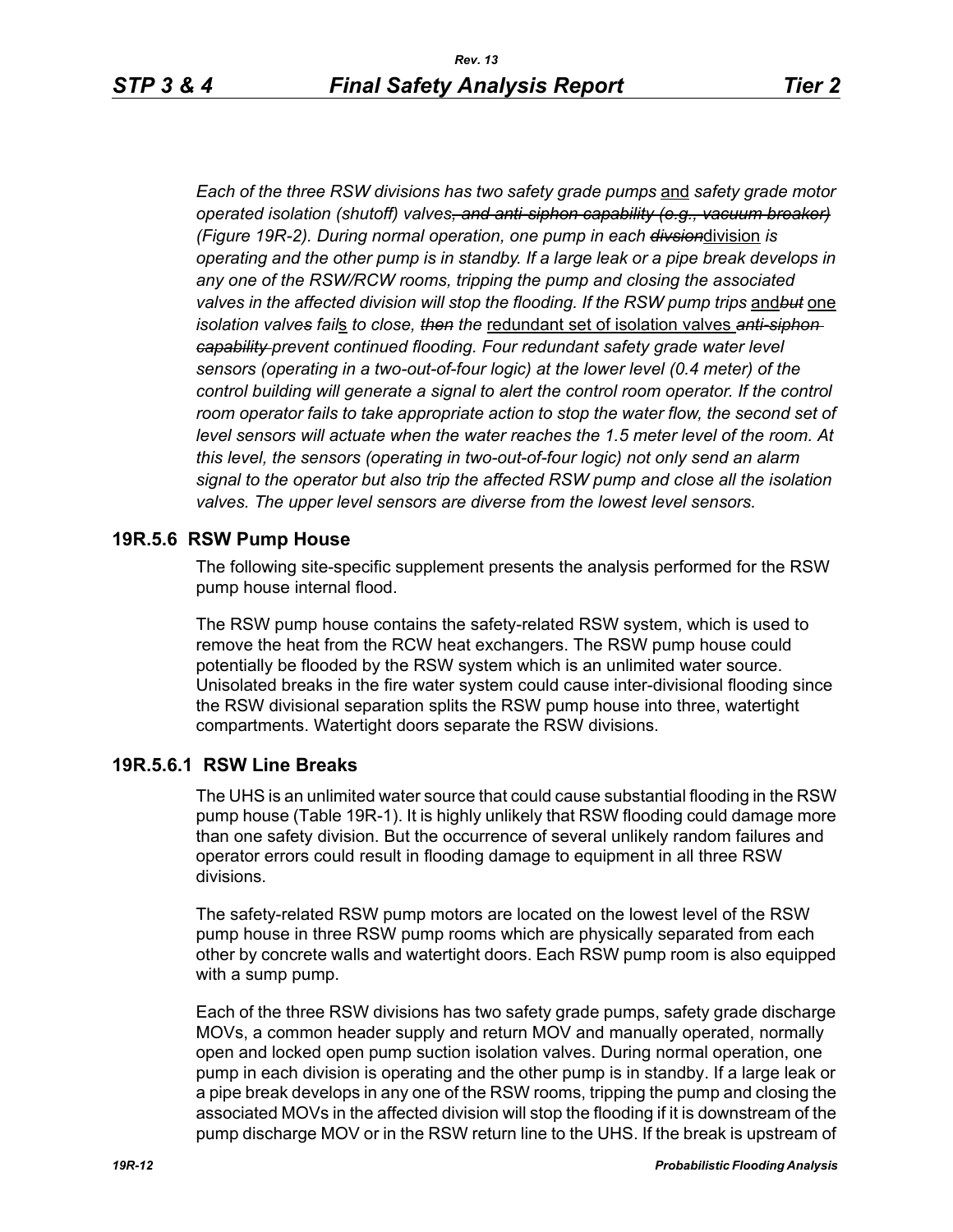*Each of the three RSW divisions has two safety grade pumps* and *safety grade motor operated isolation (shutoff) valves, and anti-siphon capability (e.g., vacuum breaker) (Figure 19R-2). During normal operation, one pump in each divsion*division *is operating and the other pump is in standby. If a large leak or a pipe break develops in any one of the RSW/RCW rooms, tripping the pump and closing the associated valves in the affected division will stop the flooding. If the RSW pump trips* and*but* one *isolation valves fail*s *to close, then the* redundant set of isolation valves *anti-siphon capability prevent continued flooding. Four redundant safety grade water level sensors (operating in a two-out-of-four logic) at the lower level (0.4 meter) of the control building will generate a signal to alert the control room operator. If the control* room operator fails to take appropriate action to stop the water flow, the second set of *level sensors will actuate when the water reaches the 1.5 meter level of the room. At this level, the sensors (operating in two-out-of-four logic) not only send an alarm signal to the operator but also trip the affected RSW pump and close all the isolation valves. The upper level sensors are diverse from the lowest level sensors.*

### **19R.5.6 RSW Pump House**

The following site-specific supplement presents the analysis performed for the RSW pump house internal flood.

The RSW pump house contains the safety-related RSW system, which is used to remove the heat from the RCW heat exchangers. The RSW pump house could potentially be flooded by the RSW system which is an unlimited water source. Unisolated breaks in the fire water system could cause inter-divisional flooding since the RSW divisional separation splits the RSW pump house into three, watertight compartments. Watertight doors separate the RSW divisions.

#### **19R.5.6.1 RSW Line Breaks**

The UHS is an unlimited water source that could cause substantial flooding in the RSW pump house (Table 19R-1). It is highly unlikely that RSW flooding could damage more than one safety division. But the occurrence of several unlikely random failures and operator errors could result in flooding damage to equipment in all three RSW divisions.

The safety-related RSW pump motors are located on the lowest level of the RSW pump house in three RSW pump rooms which are physically separated from each other by concrete walls and watertight doors. Each RSW pump room is also equipped with a sump pump.

Each of the three RSW divisions has two safety grade pumps, safety grade discharge MOVs, a common header supply and return MOV and manually operated, normally open and locked open pump suction isolation valves. During normal operation, one pump in each division is operating and the other pump is in standby. If a large leak or a pipe break develops in any one of the RSW rooms, tripping the pump and closing the associated MOVs in the affected division will stop the flooding if it is downstream of the pump discharge MOV or in the RSW return line to the UHS. If the break is upstream of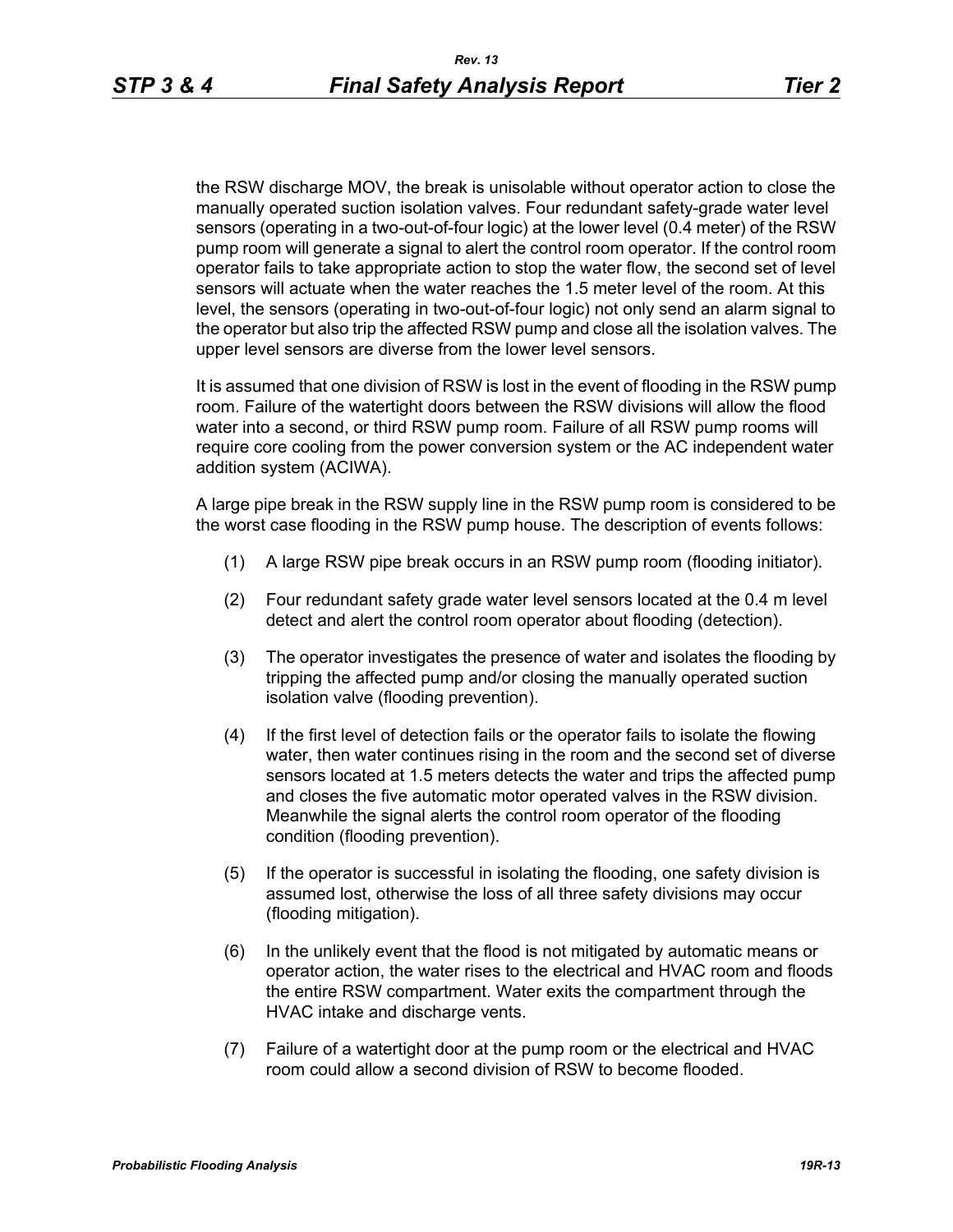the RSW discharge MOV, the break is unisolable without operator action to close the manually operated suction isolation valves. Four redundant safety-grade water level sensors (operating in a two-out-of-four logic) at the lower level (0.4 meter) of the RSW pump room will generate a signal to alert the control room operator. If the control room operator fails to take appropriate action to stop the water flow, the second set of level sensors will actuate when the water reaches the 1.5 meter level of the room. At this level, the sensors (operating in two-out-of-four logic) not only send an alarm signal to the operator but also trip the affected RSW pump and close all the isolation valves. The upper level sensors are diverse from the lower level sensors.

It is assumed that one division of RSW is lost in the event of flooding in the RSW pump room. Failure of the watertight doors between the RSW divisions will allow the flood water into a second, or third RSW pump room. Failure of all RSW pump rooms will require core cooling from the power conversion system or the AC independent water addition system (ACIWA).

A large pipe break in the RSW supply line in the RSW pump room is considered to be the worst case flooding in the RSW pump house. The description of events follows:

- (1) A large RSW pipe break occurs in an RSW pump room (flooding initiator).
- (2) Four redundant safety grade water level sensors located at the 0.4 m level detect and alert the control room operator about flooding (detection).
- (3) The operator investigates the presence of water and isolates the flooding by tripping the affected pump and/or closing the manually operated suction isolation valve (flooding prevention).
- (4) If the first level of detection fails or the operator fails to isolate the flowing water, then water continues rising in the room and the second set of diverse sensors located at 1.5 meters detects the water and trips the affected pump and closes the five automatic motor operated valves in the RSW division. Meanwhile the signal alerts the control room operator of the flooding condition (flooding prevention).
- (5) If the operator is successful in isolating the flooding, one safety division is assumed lost, otherwise the loss of all three safety divisions may occur (flooding mitigation).
- (6) In the unlikely event that the flood is not mitigated by automatic means or operator action, the water rises to the electrical and HVAC room and floods the entire RSW compartment. Water exits the compartment through the HVAC intake and discharge vents.
- (7) Failure of a watertight door at the pump room or the electrical and HVAC room could allow a second division of RSW to become flooded.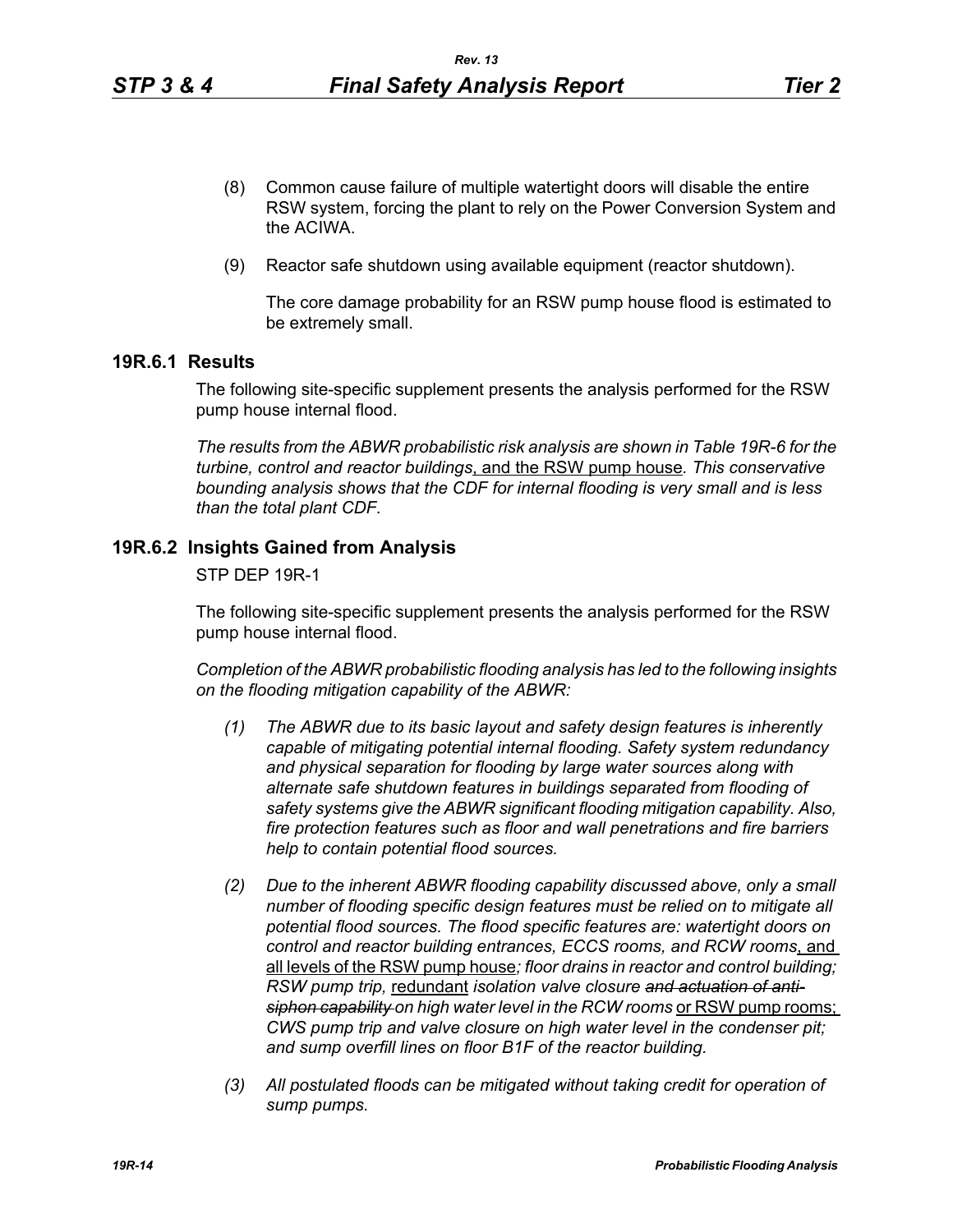- (8) Common cause failure of multiple watertight doors will disable the entire RSW system, forcing the plant to rely on the Power Conversion System and the ACIWA.
- (9) Reactor safe shutdown using available equipment (reactor shutdown).

The core damage probability for an RSW pump house flood is estimated to be extremely small.

#### **19R.6.1 Results**

The following site-specific supplement presents the analysis performed for the RSW pump house internal flood.

*The results from the ABWR probabilistic risk analysis are shown in Table 19R-6 for the turbine, control and reactor buildings*, and the RSW pump house*. This conservative bounding analysis shows that the CDF for internal flooding is very small and is less than the total plant CDF.*

# **19R.6.2 Insights Gained from Analysis**

STP DEP 19R-1

The following site-specific supplement presents the analysis performed for the RSW pump house internal flood.

*Completion of the ABWR probabilistic flooding analysis has led to the following insights on the flooding mitigation capability of the ABWR:*

- *(1) The ABWR due to its basic layout and safety design features is inherently capable of mitigating potential internal flooding. Safety system redundancy and physical separation for flooding by large water sources along with alternate safe shutdown features in buildings separated from flooding of safety systems give the ABWR significant flooding mitigation capability. Also, fire protection features such as floor and wall penetrations and fire barriers help to contain potential flood sources.*
- *(2) Due to the inherent ABWR flooding capability discussed above, only a small number of flooding specific design features must be relied on to mitigate all potential flood sources. The flood specific features are: watertight doors on control and reactor building entrances, ECCS rooms, and RCW rooms*, and all levels of the RSW pump house*; floor drains in reactor and control building; RSW pump trip,* redundant *isolation valve closure and actuation of anti*siphon capability on high water level in the RCW rooms or RSW pump rooms; *CWS pump trip and valve closure on high water level in the condenser pit; and sump overfill lines on floor B1F of the reactor building.*
- *(3) All postulated floods can be mitigated without taking credit for operation of sump pumps.*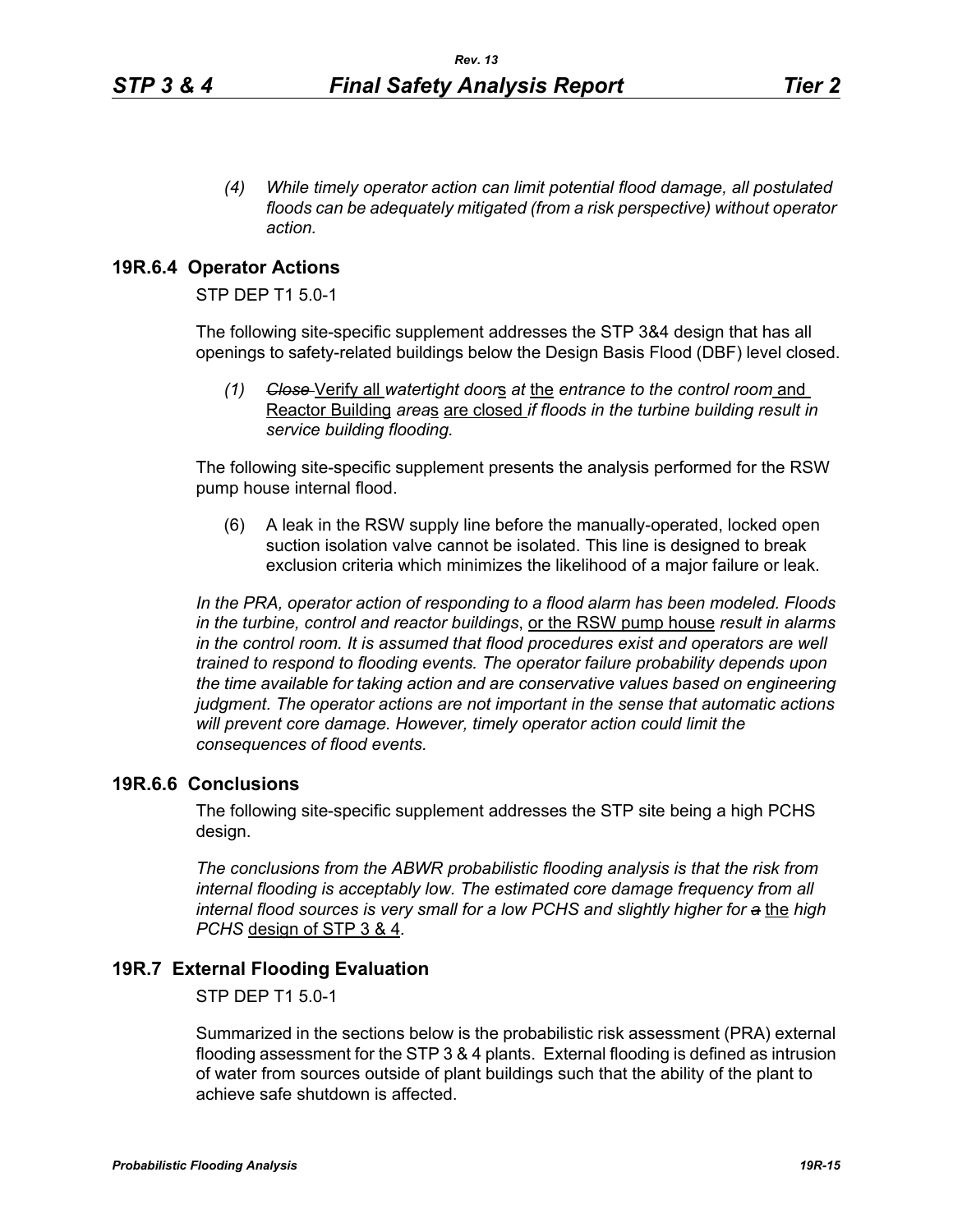*(4) While timely operator action can limit potential flood damage, all postulated floods can be adequately mitigated (from a risk perspective) without operator action.*

### **19R.6.4 Operator Actions**

STP DEP T1 5.0-1

The following site-specific supplement addresses the STP 3&4 design that has all openings to safety-related buildings below the Design Basis Flood (DBF) level closed.

*(1) Close* Verify all *watertight door*s *at* the *entrance to the control room* and Reactor Building *area*s are closed *if floods in the turbine building result in service building flooding.*

The following site-specific supplement presents the analysis performed for the RSW pump house internal flood.

(6) A leak in the RSW supply line before the manually-operated, locked open suction isolation valve cannot be isolated. This line is designed to break exclusion criteria which minimizes the likelihood of a major failure or leak.

*In the PRA, operator action of responding to a flood alarm has been modeled. Floods in the turbine, control and reactor buildings*, or the RSW pump house *result in alarms in the control room. It is assumed that flood procedures exist and operators are well trained to respond to flooding events. The operator failure probability depends upon the time available for taking action and are conservative values based on engineering judgment. The operator actions are not important in the sense that automatic actions will prevent core damage. However, timely operator action could limit the consequences of flood events.* 

# **19R.6.6 Conclusions**

The following site-specific supplement addresses the STP site being a high PCHS design.

*The conclusions from the ABWR probabilistic flooding analysis is that the risk from internal flooding is acceptably low. The estimated core damage frequency from all internal flood sources is very small for a low PCHS and slightly higher for a* the *high PCHS* design of STP 3 & 4*.*

## **19R.7 External Flooding Evaluation**

STP DEP T1 5.0-1

Summarized in the sections below is the probabilistic risk assessment (PRA) external flooding assessment for the STP 3 & 4 plants. External flooding is defined as intrusion of water from sources outside of plant buildings such that the ability of the plant to achieve safe shutdown is affected.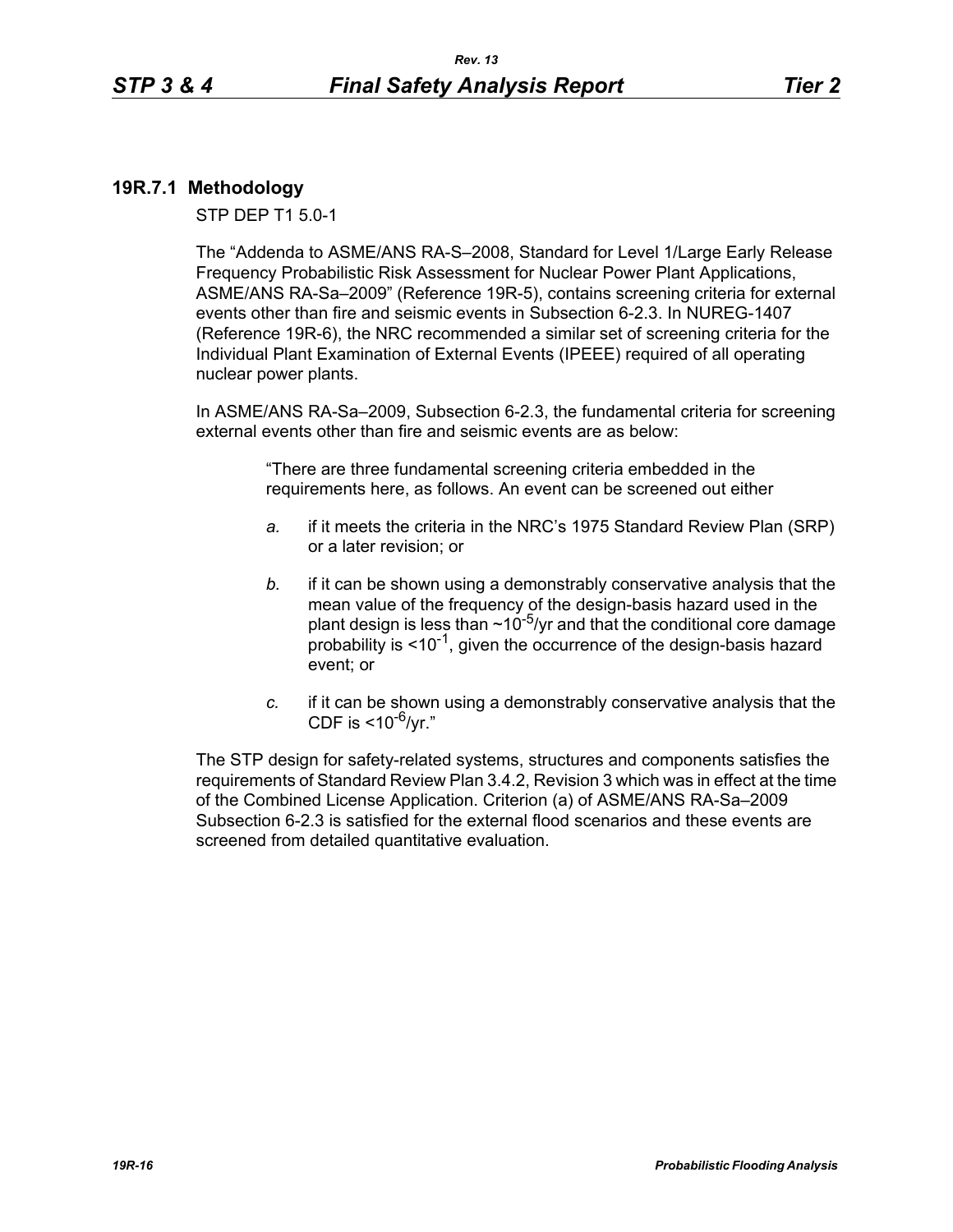# **19R.7.1 Methodology**

STP DEP T1 5.0-1

The "Addenda to ASME/ANS RA-S–2008, Standard for Level 1/Large Early Release Frequency Probabilistic Risk Assessment for Nuclear Power Plant Applications, ASME/ANS RA-Sa–2009" (Reference 19R-5), contains screening criteria for external events other than fire and seismic events in Subsection 6-2.3. In NUREG-1407 (Reference 19R-6), the NRC recommended a similar set of screening criteria for the Individual Plant Examination of External Events (IPEEE) required of all operating nuclear power plants.

In ASME/ANS RA-Sa–2009, Subsection 6-2.3, the fundamental criteria for screening external events other than fire and seismic events are as below:

> "There are three fundamental screening criteria embedded in the requirements here, as follows. An event can be screened out either

- *a.* if it meets the criteria in the NRC's 1975 Standard Review Plan (SRP) or a later revision; or
- *b.* if it can be shown using a demonstrably conservative analysis that the mean value of the frequency of the design-basis hazard used in the plant design is less than  $\sim 10^{-5}$ /yr and that the conditional core damage probability is  $\leq 10^{-1}$ , given the occurrence of the design-basis hazard event; or
- *c.* if it can be shown using a demonstrably conservative analysis that the CDF is  $<$ 10<sup>-6</sup>/vr."

The STP design for safety-related systems, structures and components satisfies the requirements of Standard Review Plan 3.4.2, Revision 3 which was in effect at the time of the Combined License Application. Criterion (a) of ASME/ANS RA-Sa–2009 Subsection 6-2.3 is satisfied for the external flood scenarios and these events are screened from detailed quantitative evaluation.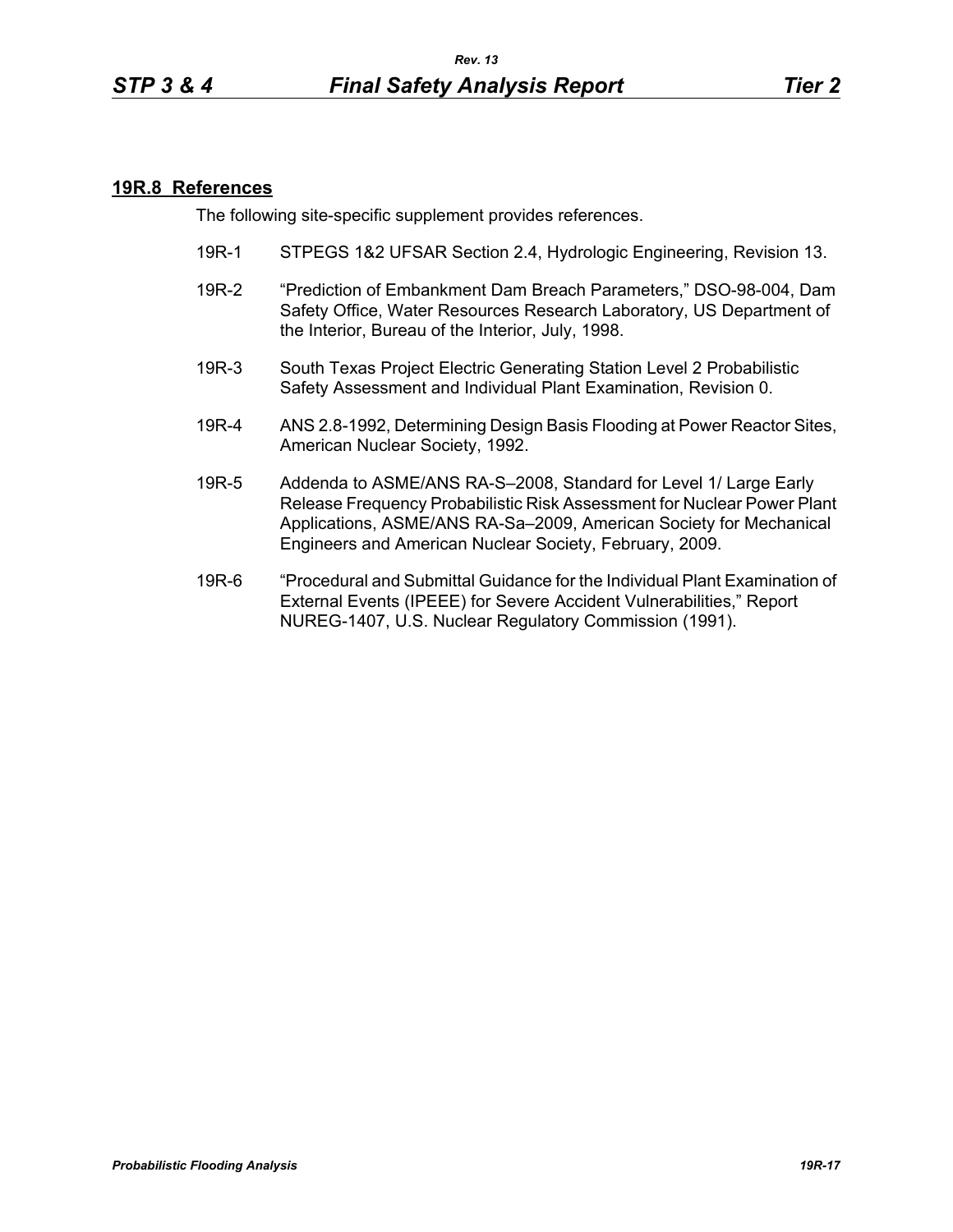#### **19R.8 References**

The following site-specific supplement provides references.

- 19R-1 STPEGS 1&2 UFSAR Section 2.4, Hydrologic Engineering, Revision 13.
- 19R-2 "Prediction of Embankment Dam Breach Parameters," DSO-98-004, Dam Safety Office, Water Resources Research Laboratory, US Department of the Interior, Bureau of the Interior, July, 1998.
- 19R-3 South Texas Project Electric Generating Station Level 2 Probabilistic Safety Assessment and Individual Plant Examination, Revision 0.
- 19R-4 ANS 2.8-1992, Determining Design Basis Flooding at Power Reactor Sites, American Nuclear Society, 1992.
- 19R-5 Addenda to ASME/ANS RA-S–2008, Standard for Level 1/ Large Early Release Frequency Probabilistic Risk Assessment for Nuclear Power Plant Applications, ASME/ANS RA-Sa–2009, American Society for Mechanical Engineers and American Nuclear Society, February, 2009.
- 19R-6 "Procedural and Submittal Guidance for the Individual Plant Examination of External Events (IPEEE) for Severe Accident Vulnerabilities," Report NUREG-1407, U.S. Nuclear Regulatory Commission (1991).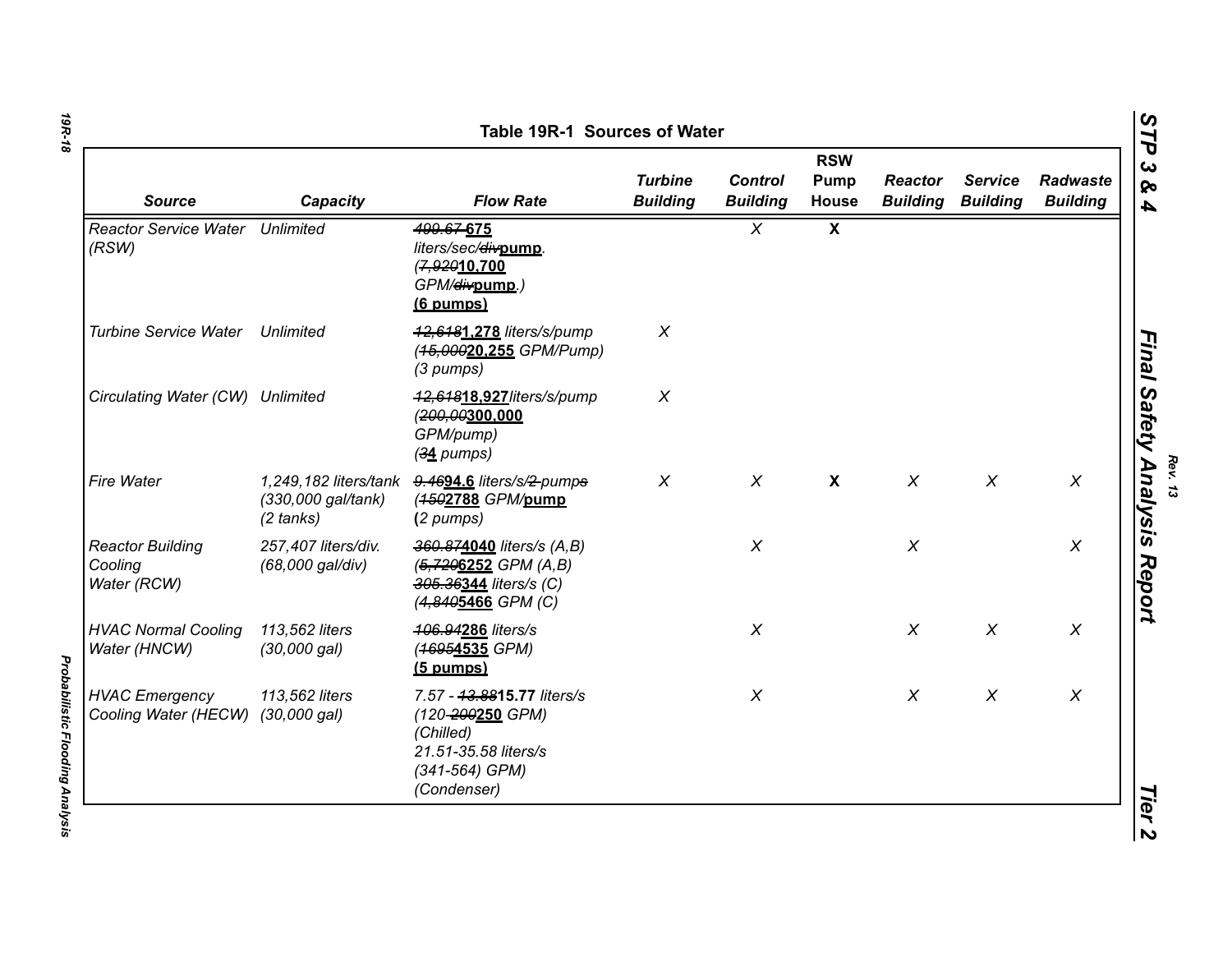| <b>Source</b>                                              | Capacity                                                           | <b>Flow Rate</b>                                                                                                     | <b>Turbine</b><br><b>Building</b> | <b>Control</b><br><b>Building</b> | <b>RSW</b><br>Pump<br><b>House</b> | <b>Reactor</b><br><b>Building</b> | <b>Service</b><br><b>Building</b> | Radwaste<br><b>Building</b> |
|------------------------------------------------------------|--------------------------------------------------------------------|----------------------------------------------------------------------------------------------------------------------|-----------------------------------|-----------------------------------|------------------------------------|-----------------------------------|-----------------------------------|-----------------------------|
| Reactor Service Water Unlimited<br>(RSW)                   |                                                                    | 499.67-675<br>liters/sec/divpump.<br>(7,92010.700<br>GPM/ <del>div</del> pump.)<br>$(6$ pumps)                       |                                   | $\chi$                            | $\mathbf{x}$                       |                                   |                                   |                             |
| <b>Turbine Service Water</b>                               | <b>Unlimited</b>                                                   | 42,6481.278 liters/s/pump<br>(45,00020.255 GPM/Pump)<br>(3 pumps)                                                    | X                                 |                                   |                                    |                                   |                                   |                             |
| Circulating Water (CW) Unlimited                           |                                                                    | 42,64818.927/iters/s/pump<br>(200,00300,000<br>GPM/pump)<br>$(34$ pumps)                                             | $\chi$                            |                                   |                                    |                                   |                                   |                             |
| Fire Water                                                 | 1,249,182 liters/tank<br>(330,000 gal/tank)<br>$(2 \text{ tanks})$ | 9.4694.6 liters/s/2-pumps<br>(4502788 GPM/pump<br>(2 pumps)                                                          | $\chi$                            | $\chi$                            | $\mathbf{x}$                       | $\chi$                            | $\chi$                            | $\boldsymbol{X}$            |
| <b>Reactor Building</b><br>Cooling<br>Water (RCW)          | 257,407 liters/div.<br>(68,000 gal/div)                            | 360.874040 liters/s (A,B)<br>$(5, 7206252 \text{ GPM } (A, B))$<br>305.36344 liters/s (C)<br>(4,8405466 GPM (C)      |                                   | $\chi$                            |                                    | $\boldsymbol{X}$                  |                                   | $\times$                    |
| <b>HVAC Normal Cooling</b><br>Water (HNCW)                 | 113,562 liters<br>(30,000 gal)                                     | 406.94286 liters/s<br>(46954535 GPM)<br>$(5 \text{ pumps})$                                                          |                                   | $\chi$                            |                                    | $\chi$                            | $\chi$                            | $\boldsymbol{X}$            |
| <b>HVAC Emergency</b><br>Cooling Water (HECW) (30,000 gal) | 113,562 liters                                                     | 7.57 - 43.8815.77 liters/s<br>(120-200250 GPM)<br>(Chilled)<br>21.51-35.58 liters/s<br>(341-564) GPM)<br>(Condenser) |                                   | $\chi$                            |                                    | $\chi$                            | $\chi$                            | $\times$                    |

*19R-18*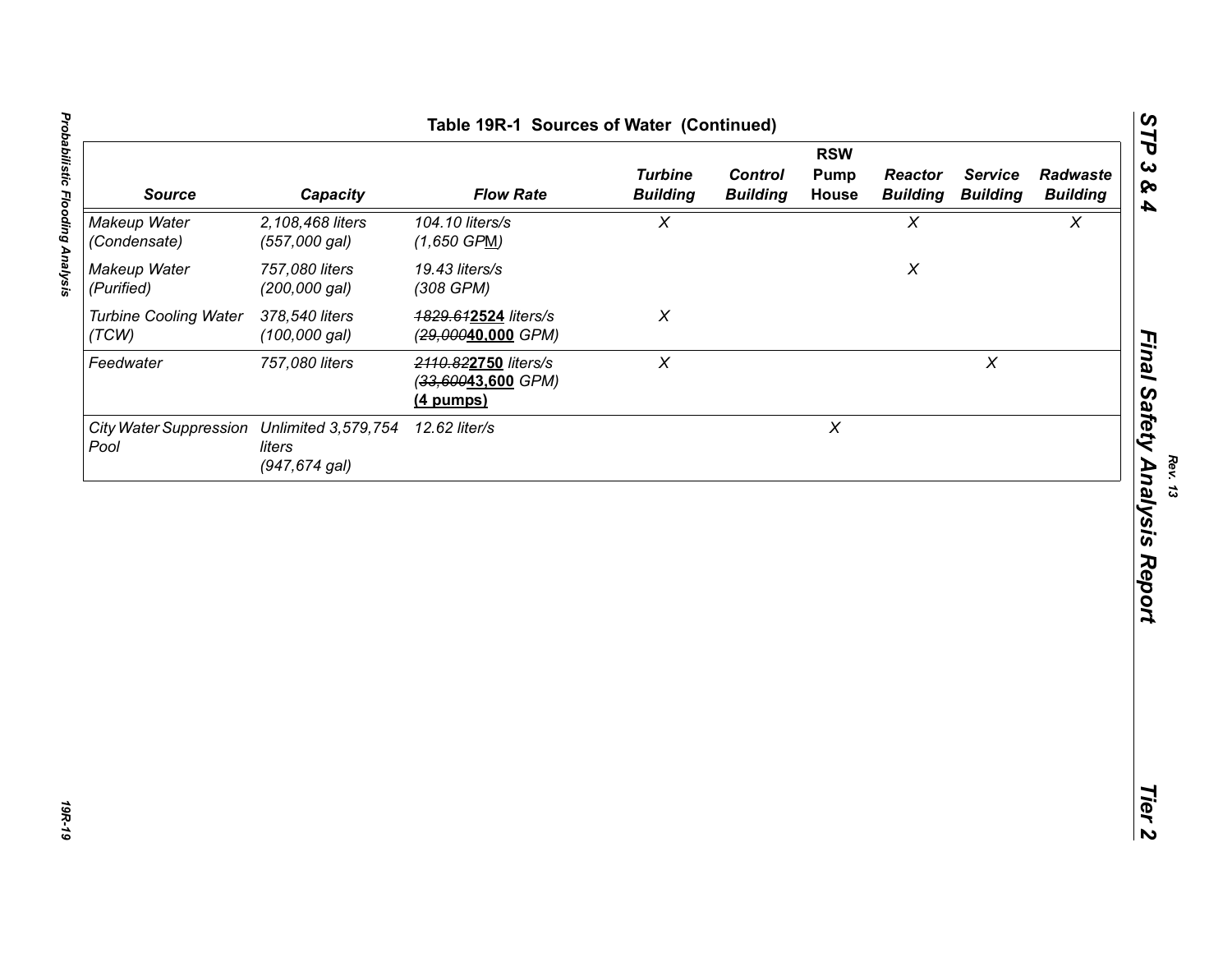| Table 19R-1 Sources of Water (Continued)           |                                   |                                                           |                                   |                                   |                                    |                                   |                                   |                             |
|----------------------------------------------------|-----------------------------------|-----------------------------------------------------------|-----------------------------------|-----------------------------------|------------------------------------|-----------------------------------|-----------------------------------|-----------------------------|
| <b>Source</b>                                      | Capacity                          | <b>Flow Rate</b>                                          | <b>Turbine</b><br><b>Building</b> | <b>Control</b><br><b>Building</b> | <b>RSW</b><br>Pump<br><b>House</b> | <b>Reactor</b><br><b>Building</b> | <b>Service</b><br><b>Building</b> | Radwaste<br><b>Building</b> |
| Makeup Water<br>(Condensate)                       | 2,108,468 liters<br>(557,000 gal) | 104.10 liters/s<br>$(1,650$ GPM)                          | $\chi$                            |                                   |                                    | $\pmb{\chi}$                      |                                   | $\pmb{\chi}$                |
| Makeup Water<br>(Purified)                         | 757,080 liters<br>(200,000 gal)   | 19.43 liters/s<br>(308 GPM)                               |                                   |                                   |                                    | $\boldsymbol{X}$                  |                                   |                             |
| <b>Turbine Cooling Water</b><br>(TCW)              | 378,540 liters<br>$(100,000$ gal) | 1829.612524 liters/s<br>(29,00040,000 GPM)                | $\pmb{\times}$                    |                                   |                                    |                                   |                                   |                             |
| Feedwater                                          | 757,080 liters                    | 2110.822750 liters/s<br>$(33,60043,600$ GPM)<br>(4 pumps) | $\pmb{\chi}$                      |                                   |                                    |                                   | $\chi$                            |                             |
| City Water Suppression Unlimited 3,579,754<br>Pool | liters<br>(947,674 gal)           | 12.62 liter/s                                             |                                   |                                   | $\chi$                             |                                   |                                   |                             |
|                                                    |                                   |                                                           |                                   |                                   |                                    |                                   |                                   |                             |
|                                                    |                                   |                                                           |                                   |                                   |                                    |                                   |                                   |                             |
|                                                    |                                   |                                                           |                                   |                                   |                                    |                                   |                                   |                             |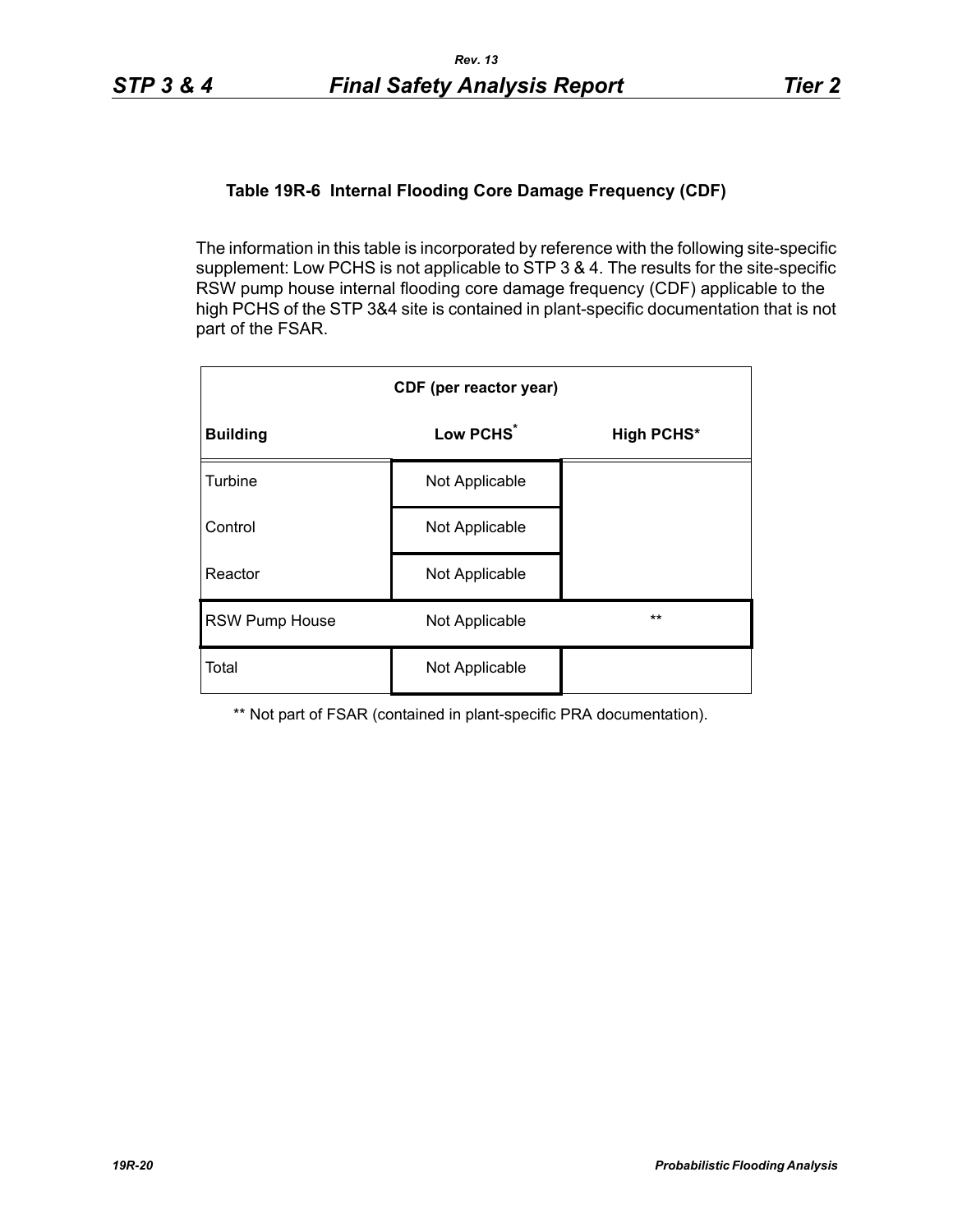# **Table 19R-6 Internal Flooding Core Damage Frequency (CDF)**

The information in this table is incorporated by reference with the following site-specific supplement: Low PCHS is not applicable to STP 3 & 4. The results for the site-specific RSW pump house internal flooding core damage frequency (CDF) applicable to the high PCHS of the STP 3&4 site is contained in plant-specific documentation that is not part of the FSAR.

| CDF (per reactor year) |                       |                   |  |  |  |  |
|------------------------|-----------------------|-------------------|--|--|--|--|
| <b>Building</b>        | Low PCHS <sup>*</sup> | <b>High PCHS*</b> |  |  |  |  |
| Turbine                | Not Applicable        |                   |  |  |  |  |
| Control                | Not Applicable        |                   |  |  |  |  |
| Reactor                | Not Applicable        |                   |  |  |  |  |
| <b>RSW Pump House</b>  | Not Applicable        | $***$             |  |  |  |  |
| Total                  | Not Applicable        |                   |  |  |  |  |

\*\* Not part of FSAR (contained in plant-specific PRA documentation).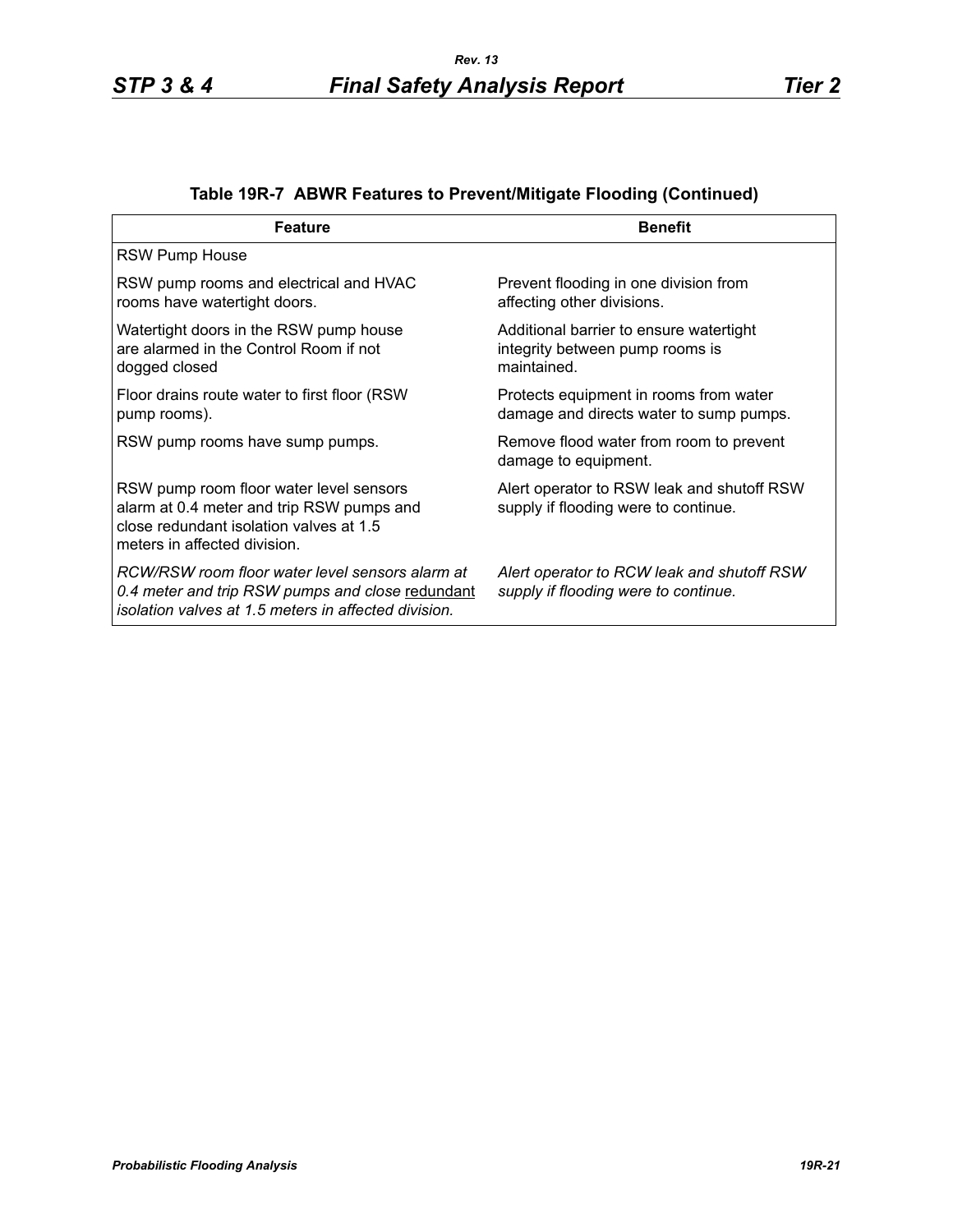| <b>Feature</b>                                                                                                                                                  | <b>Benefit</b>                                                                            |
|-----------------------------------------------------------------------------------------------------------------------------------------------------------------|-------------------------------------------------------------------------------------------|
| <b>RSW Pump House</b>                                                                                                                                           |                                                                                           |
| RSW pump rooms and electrical and HVAC<br>rooms have watertight doors.                                                                                          | Prevent flooding in one division from<br>affecting other divisions.                       |
| Watertight doors in the RSW pump house<br>are alarmed in the Control Room if not<br>dogged closed                                                               | Additional barrier to ensure watertight<br>integrity between pump rooms is<br>maintained. |
| Floor drains route water to first floor (RSW)<br>pump rooms).                                                                                                   | Protects equipment in rooms from water<br>damage and directs water to sump pumps.         |
| RSW pump rooms have sump pumps.                                                                                                                                 | Remove flood water from room to prevent<br>damage to equipment.                           |
| RSW pump room floor water level sensors<br>alarm at 0.4 meter and trip RSW pumps and<br>close redundant isolation valves at 1.5<br>meters in affected division. | Alert operator to RSW leak and shutoff RSW<br>supply if flooding were to continue.        |
| RCW/RSW room floor water level sensors alarm at<br>0.4 meter and trip RSW pumps and close redundant<br>isolation valves at 1.5 meters in affected division.     | Alert operator to RCW leak and shutoff RSW<br>supply if flooding were to continue.        |

# **Table 19R-7 ABWR Features to Prevent/Mitigate Flooding (Continued)**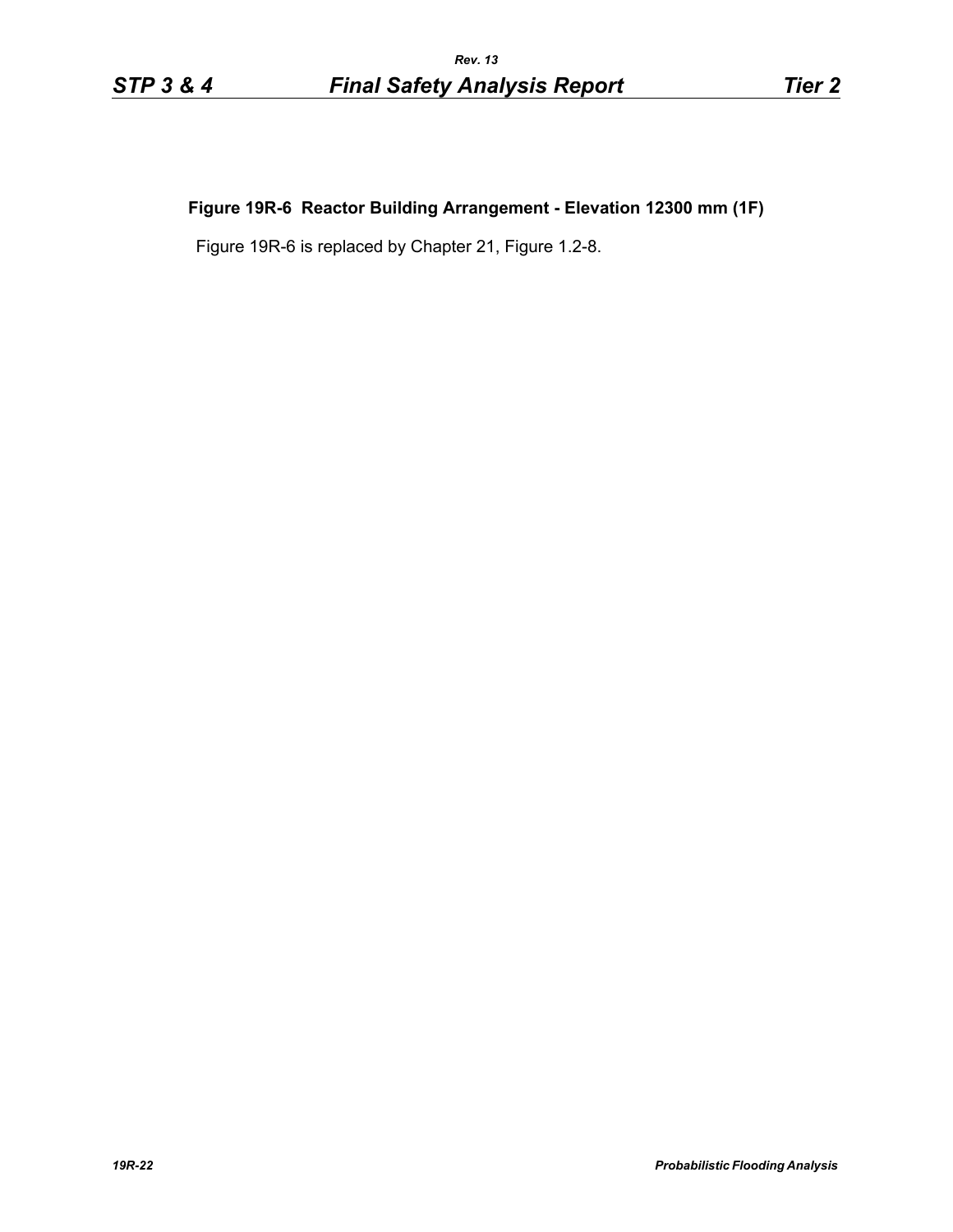# **Figure 19R-6 Reactor Building Arrangement - Elevation 12300 mm (1F)**

Figure 19R-6 is replaced by Chapter 21, Figure 1.2-8.